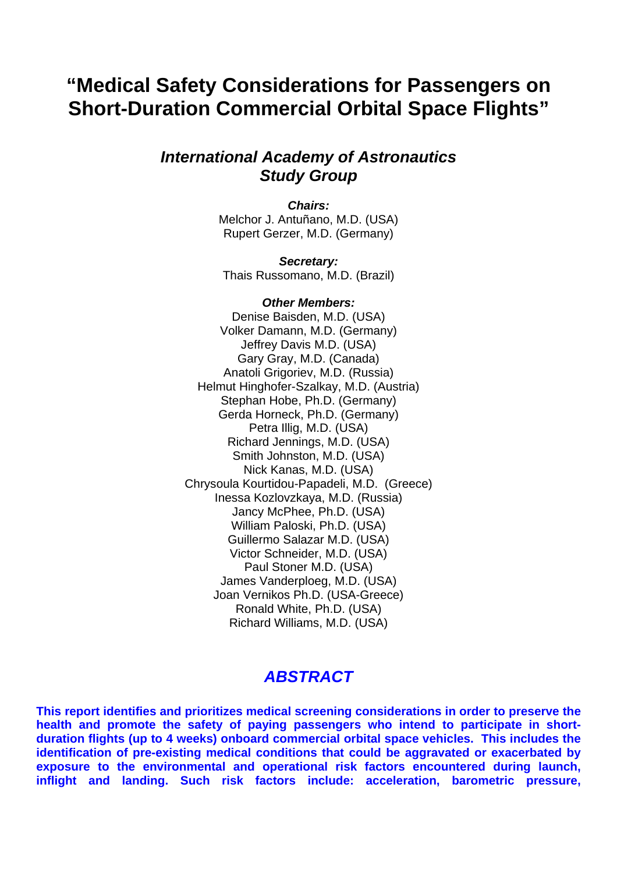# **"Medical Safety Considerations for Passengers on Short-Duration Commercial Orbital Space Flights"**

### *International Academy of Astronautics Study Group*

*Chairs:* Melchor J. Antuñano, M.D. (USA) Rupert Gerzer, M.D. (Germany)

*Secretary:* Thais Russomano, M.D. (Brazil)

#### *Other Members:*

Denise Baisden, M.D. (USA) Volker Damann, M.D. (Germany) Jeffrey Davis M.D. (USA) Gary Gray, M.D. (Canada) Anatoli Grigoriev, M.D. (Russia) Helmut Hinghofer-Szalkay, M.D. (Austria) Stephan Hobe, Ph.D. (Germany) Gerda Horneck, Ph.D. (Germany) Petra Illig, M.D. (USA) Richard Jennings, M.D. (USA) Smith Johnston, M.D. (USA) Nick Kanas, M.D. (USA) Chrysoula Kourtidou-Papadeli, M.D. (Greece) Inessa Kozlovzkaya, M.D. (Russia) Jancy McPhee, Ph.D. (USA) William Paloski, Ph.D. (USA) Guillermo Salazar M.D. (USA) Victor Schneider, M.D. (USA) Paul Stoner M.D. (USA) James Vanderploeg, M.D. (USA) Joan Vernikos Ph.D. (USA-Greece) Ronald White, Ph.D. (USA) Richard Williams, M.D. (USA)

### *ABSTRACT*

**This report identifies and prioritizes medical screening considerations in order to preserve the health and promote the safety of paying passengers who intend to participate in shortduration flights (up to 4 weeks) onboard commercial orbital space vehicles. This includes the identification of pre-existing medical conditions that could be aggravated or exacerbated by exposure to the environmental and operational risk factors encountered during launch, inflight and landing. Such risk factors include: acceleration, barometric pressure,**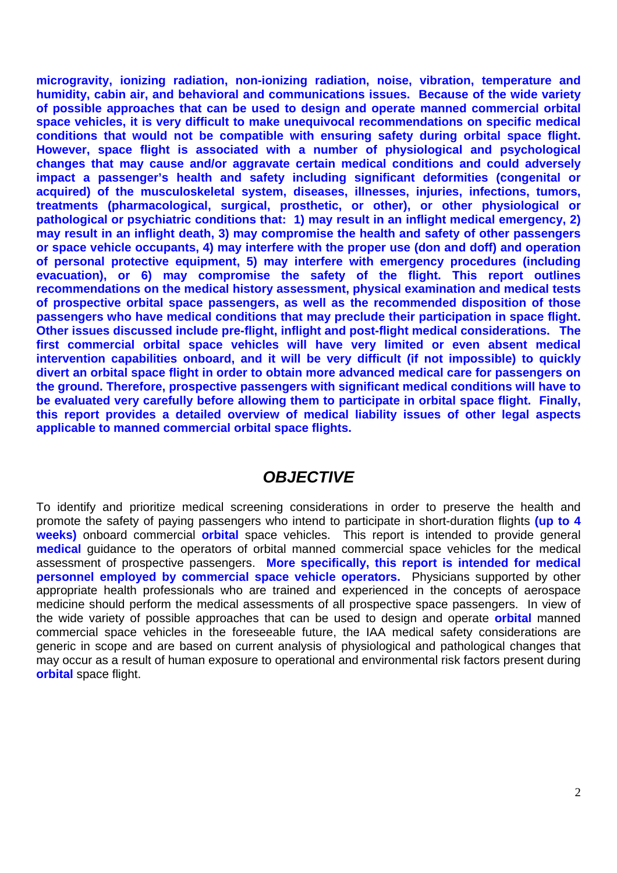**microgravity, ionizing radiation, non-ionizing radiation, noise, vibration, temperature and humidity, cabin air, and behavioral and communications issues. Because of the wide variety of possible approaches that can be used to design and operate manned commercial orbital space vehicles, it is very difficult to make unequivocal recommendations on specific medical conditions that would not be compatible with ensuring safety during orbital space flight. However, space flight is associated with a number of physiological and psychological changes that may cause and/or aggravate certain medical conditions and could adversely impact a passenger's health and safety including significant deformities (congenital or acquired) of the musculoskeletal system, diseases, illnesses, injuries, infections, tumors, treatments (pharmacological, surgical, prosthetic, or other), or other physiological or pathological or psychiatric conditions that: 1) may result in an inflight medical emergency, 2) may result in an inflight death, 3) may compromise the health and safety of other passengers or space vehicle occupants, 4) may interfere with the proper use (don and doff) and operation of personal protective equipment, 5) may interfere with emergency procedures (including evacuation), or 6) may compromise the safety of the flight. This report outlines recommendations on the medical history assessment, physical examination and medical tests of prospective orbital space passengers, as well as the recommended disposition of those passengers who have medical conditions that may preclude their participation in space flight. Other issues discussed include pre-flight, inflight and post-flight medical considerations.****The first commercial orbital space vehicles will have very limited or even absent medical intervention capabilities onboard, and it will be very difficult (if not impossible) to quickly divert an orbital space flight in order to obtain more advanced medical care for passengers on the ground. Therefore, prospective passengers with significant medical conditions will have to be evaluated very carefully before allowing them to participate in orbital space flight. Finally, this report provides a detailed overview of medical liability issues of other legal aspects applicable to manned commercial orbital space flights.** 

## *OBJECTIVE*

To identify and prioritize medical screening considerations in order to preserve the health and promote the safety of paying passengers who intend to participate in short-duration flights **(up to 4 weeks)** onboard commercial **orbital** space vehicles. This report is intended to provide general **medical** guidance to the operators of orbital manned commercial space vehicles for the medical assessment of prospective passengers. **More specifically, this report is intended for medical personnel employed by commercial space vehicle operators.** Physicians supported by other appropriate health professionals who are trained and experienced in the concepts of aerospace medicine should perform the medical assessments of all prospective space passengers. In view of the wide variety of possible approaches that can be used to design and operate **orbital** manned commercial space vehicles in the foreseeable future, the IAA medical safety considerations are generic in scope and are based on current analysis of physiological and pathological changes that may occur as a result of human exposure to operational and environmental risk factors present during **orbital** space flight.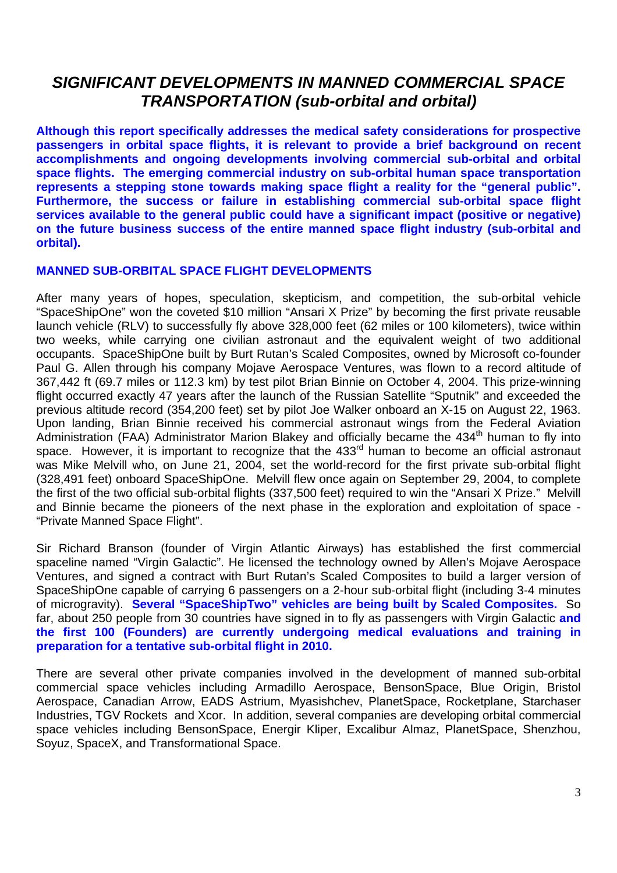## *SIGNIFICANT DEVELOPMENTS IN MANNED COMMERCIAL SPACE TRANSPORTATION (sub-orbital and orbital)*

**Although this report specifically addresses the medical safety considerations for prospective passengers in orbital space flights, it is relevant to provide a brief background on recent accomplishments and ongoing developments involving commercial sub-orbital and orbital space flights. The emerging commercial industry on sub-orbital human space transportation represents a stepping stone towards making space flight a reality for the "general public". Furthermore, the success or failure in establishing commercial sub-orbital space flight services available to the general public could have a significant impact (positive or negative) on the future business success of the entire manned space flight industry (sub-orbital and orbital).** 

### **MANNED SUB-ORBITAL SPACE FLIGHT DEVELOPMENTS**

After many years of hopes, speculation, skepticism, and competition, the sub-orbital vehicle "SpaceShipOne" won the coveted \$10 million "Ansari X Prize" by becoming the first private reusable launch vehicle (RLV) to successfully fly above 328,000 feet (62 miles or 100 kilometers), twice within two weeks, while carrying one civilian astronaut and the equivalent weight of two additional occupants. SpaceShipOne built by Burt Rutan's Scaled Composites, owned by Microsoft co-founder Paul G. Allen through his company Mojave Aerospace Ventures, was flown to a record altitude of 367,442 ft (69.7 miles or 112.3 km) by test pilot Brian Binnie on October 4, 2004. This prize-winning flight occurred exactly 47 years after the launch of the Russian Satellite "Sputnik" and exceeded the previous altitude record (354,200 feet) set by pilot Joe Walker onboard an X-15 on August 22, 1963. Upon landing, Brian Binnie received his commercial astronaut wings from the Federal Aviation Administration (FAA) Administrator Marion Blakey and officially became the 434<sup>th</sup> human to fly into space. However, it is important to recognize that the 433<sup>rd</sup> human to become an official astronaut was Mike Melvill who, on June 21, 2004, set the world-record for the first private sub-orbital flight (328,491 feet) onboard SpaceShipOne. Melvill flew once again on September 29, 2004, to complete the first of the two official sub-orbital flights (337,500 feet) required to win the "Ansari X Prize." Melvill and Binnie became the pioneers of the next phase in the exploration and exploitation of space - "Private Manned Space Flight".

Sir Richard Branson (founder of Virgin Atlantic Airways) has established the first commercial spaceline named "Virgin Galactic". He licensed the technology owned by Allen's Mojave Aerospace Ventures, and signed a contract with Burt Rutan's Scaled Composites to build a larger version of SpaceShipOne capable of carrying 6 passengers on a 2-hour sub-orbital flight (including 3-4 minutes of microgravity). **Several "SpaceShipTwo" vehicles are being built by Scaled Composites.** So far, about 250 people from 30 countries have signed in to fly as passengers with Virgin Galactic **and the first 100 (Founders) are currently undergoing medical evaluations and training in preparation for a tentative sub-orbital flight in 2010.**

There are several other private companies involved in the development of manned sub-orbital commercial space vehicles including Armadillo Aerospace, BensonSpace, Blue Origin, Bristol Aerospace, Canadian Arrow, EADS Astrium, Myasishchev, PlanetSpace, Rocketplane, Starchaser Industries, TGV Rockets and Xcor. In addition, several companies are developing orbital commercial space vehicles including BensonSpace, Energir Kliper, Excalibur Almaz, PlanetSpace, Shenzhou, Soyuz, SpaceX, and Transformational Space.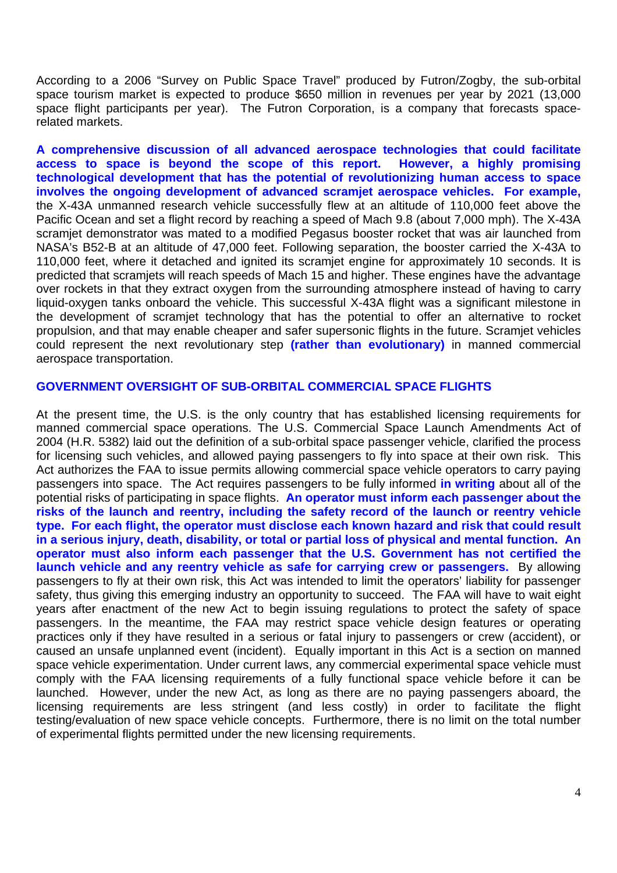According to a 2006 "Survey on Public Space Travel" produced by Futron/Zogby, the sub-orbital space tourism market is expected to produce \$650 million in revenues per year by 2021 (13,000 space flight participants per year). The Futron Corporation, is a company that forecasts spacerelated markets.

**A comprehensive discussion of all advanced aerospace technologies that could facilitate access to space is beyond the scope of this report. However, a highly promising technological development that has the potential of revolutionizing human access to space involves the ongoing development of advanced scramjet aerospace vehicles. For example,**  the X-43A unmanned research vehicle successfully flew at an altitude of 110,000 feet above the Pacific Ocean and set a flight record by reaching a speed of Mach 9.8 (about 7,000 mph). The X-43A scramjet demonstrator was mated to a modified Pegasus booster rocket that was air launched from NASA's B52-B at an altitude of 47,000 feet. Following separation, the booster carried the X-43A to 110,000 feet, where it detached and ignited its scramjet engine for approximately 10 seconds. It is predicted that scramjets will reach speeds of Mach 15 and higher. These engines have the advantage over rockets in that they extract oxygen from the surrounding atmosphere instead of having to carry liquid-oxygen tanks onboard the vehicle. This successful X-43A flight was a significant milestone in the development of scramjet technology that has the potential to offer an alternative to rocket propulsion, and that may enable cheaper and safer supersonic flights in the future. Scramjet vehicles could represent the next revolutionary step **(rather than evolutionary)** in manned commercial aerospace transportation.

#### **GOVERNMENT OVERSIGHT OF SUB-ORBITAL COMMERCIAL SPACE FLIGHTS**

At the present time, the U.S. is the only country that has established licensing requirements for manned commercial space operations. The U.S. Commercial Space Launch Amendments Act of 2004 (H.R. 5382) laid out the definition of a sub-orbital space passenger vehicle, clarified the process for licensing such vehicles, and allowed paying passengers to fly into space at their own risk. This Act authorizes the FAA to issue permits allowing commercial space vehicle operators to carry paying passengers into space. The Act requires passengers to be fully informed **in writing** about all of the potential risks of participating in space flights. **An operator must inform each passenger about the risks of the launch and reentry, including the safety record of the launch or reentry vehicle type. For each flight, the operator must disclose each known hazard and risk that could result in a serious injury, death, disability, or total or partial loss of physical and mental function. An operator must also inform each passenger that the U.S. Government has not certified the launch vehicle and any reentry vehicle as safe for carrying crew or passengers.** By allowing passengers to fly at their own risk, this Act was intended to limit the operators' liability for passenger safety, thus giving this emerging industry an opportunity to succeed. The FAA will have to wait eight years after enactment of the new Act to begin issuing regulations to protect the safety of space passengers. In the meantime, the FAA may restrict space vehicle design features or operating practices only if they have resulted in a serious or fatal injury to passengers or crew (accident), or caused an unsafe unplanned event (incident). Equally important in this Act is a section on manned space vehicle experimentation. Under current laws, any commercial experimental space vehicle must comply with the FAA licensing requirements of a fully functional space vehicle before it can be launched. However, under the new Act, as long as there are no paying passengers aboard, the licensing requirements are less stringent (and less costly) in order to facilitate the flight testing/evaluation of new space vehicle concepts. Furthermore, there is no limit on the total number of experimental flights permitted under the new licensing requirements.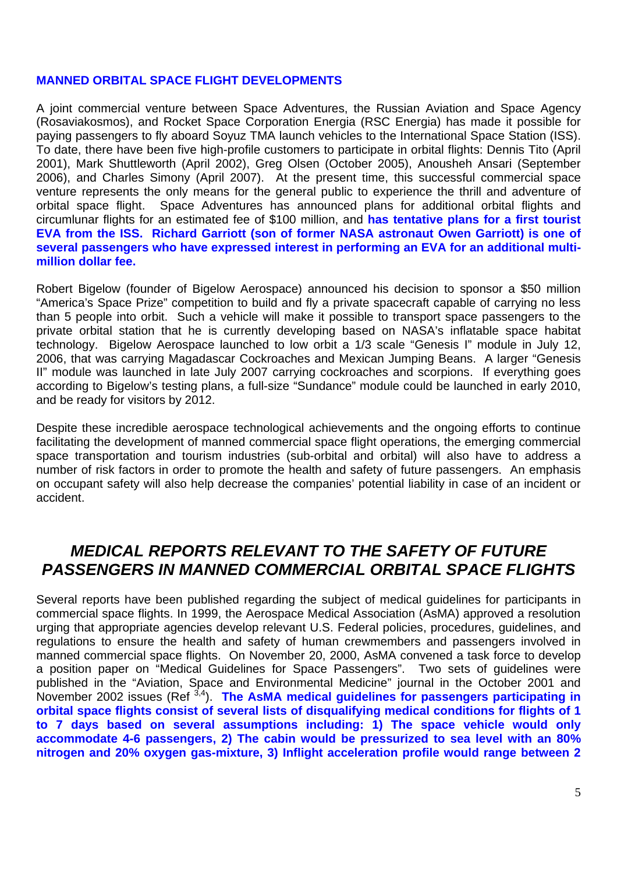### **MANNED ORBITAL SPACE FLIGHT DEVELOPMENTS**

A joint commercial venture between Space Adventures, the Russian Aviation and Space Agency (Rosaviakosmos), and Rocket Space Corporation Energia (RSC Energia) has made it possible for paying passengers to fly aboard Soyuz TMA launch vehicles to the International Space Station (ISS). To date, there have been five high-profile customers to participate in orbital flights: Dennis Tito (April 2001), Mark Shuttleworth (April 2002), Greg Olsen (October 2005), Anousheh Ansari (September 2006), and Charles Simony (April 2007). At the present time, this successful commercial space venture represents the only means for the general public to experience the thrill and adventure of orbital space flight. Space Adventures has announced plans for additional orbital flights and circumlunar flights for an estimated fee of \$100 million, and **has tentative plans for a first tourist EVA from the ISS. Richard Garriott (son of former NASA astronaut Owen Garriott) is one of several passengers who have expressed interest in performing an EVA for an additional multimillion dollar fee.** 

Robert Bigelow (founder of Bigelow Aerospace) announced his decision to sponsor a \$50 million "America's Space Prize" competition to build and fly a private spacecraft capable of carrying no less than 5 people into orbit. Such a vehicle will make it possible to transport space passengers to the private orbital station that he is currently developing based on NASA's inflatable space habitat technology. Bigelow Aerospace launched to low orbit a 1/3 scale "Genesis I" module in July 12, 2006, that was carrying Magadascar Cockroaches and Mexican Jumping Beans. A larger "Genesis II" module was launched in late July 2007 carrying cockroaches and scorpions. If everything goes according to Bigelow's testing plans, a full-size "Sundance" module could be launched in early 2010, and be ready for visitors by 2012.

Despite these incredible aerospace technological achievements and the ongoing efforts to continue facilitating the development of manned commercial space flight operations, the emerging commercial space transportation and tourism industries (sub-orbital and orbital) will also have to address a number of risk factors in order to promote the health and safety of future passengers. An emphasis on occupant safety will also help decrease the companies' potential liability in case of an incident or accident.

## *MEDICAL REPORTS RELEVANT TO THE SAFETY OF FUTURE PASSENGERS IN MANNED COMMERCIAL ORBITAL SPACE FLIGHTS*

Several reports have been published regarding the subject of medical guidelines for participants in commercial space flights. In 1999, the Aerospace Medical Association (AsMA) approved a resolution urging that appropriate agencies develop relevant U.S. Federal policies, procedures, guidelines, and regulations to ensure the health and safety of human crewmembers and passengers involved in manned commercial space flights. On November 20, 2000, AsMA convened a task force to develop a position paper on "Medical Guidelines for Space Passengers". Two sets of guidelines were published in the "Aviation, Space and Environmental Medicine" journal in the October 2001 and November 2002 issues (Ref<sup>3,4</sup>). **The AsMA medical guidelines for passengers participating in orbital space flights consist of several lists of disqualifying medical conditions for flights of 1 to 7 days based on several assumptions including: 1) The space vehicle would only accommodate 4-6 passengers, 2) The cabin would be pressurized to sea level with an 80% nitrogen and 20% oxygen gas-mixture, 3) Inflight acceleration profile would range between 2**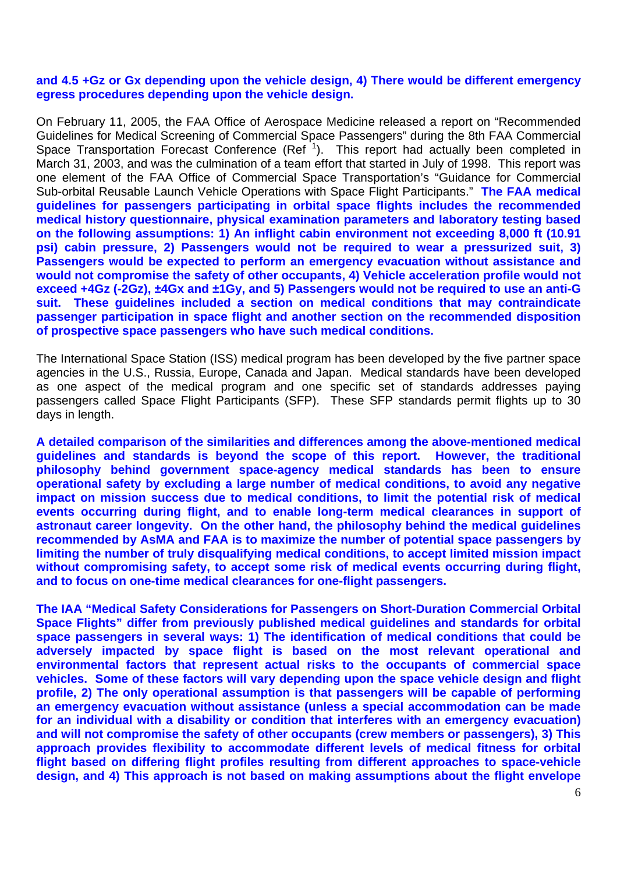#### **and 4.5 +Gz or Gx depending upon the vehicle design, 4) There would be different emergency egress procedures depending upon the vehicle design.**

On February 11, 2005, the FAA Office of Aerospace Medicine released a report on "Recommended Guidelines for Medical Screening of Commercial Space Passengers" during the 8th FAA Commercial Space Transportation Forecast Conference (Ref<sup>1</sup>). This report had actually been completed in March 31, 2003, and was the culmination of a team effort that started in July of 1998. This report was one element of the FAA Office of Commercial Space Transportation's "Guidance for Commercial Sub-orbital Reusable Launch Vehicle Operations with Space Flight Participants." **The FAA medical guidelines for passengers participating in orbital space flights includes the recommended medical history questionnaire, physical examination parameters and laboratory testing based on the following assumptions: 1) An inflight cabin environment not exceeding 8,000 ft (10.91 psi) cabin pressure, 2) Passengers would not be required to wear a pressurized suit, 3) Passengers would be expected to perform an emergency evacuation without assistance and would not compromise the safety of other occupants, 4) Vehicle acceleration profile would not exceed +4Gz (-2Gz), ±4Gx and ±1Gy, and 5) Passengers would not be required to use an anti-G suit. These guidelines included a section on medical conditions that may contraindicate passenger participation in space flight and another section on the recommended disposition of prospective space passengers who have such medical conditions.**

The International Space Station (ISS) medical program has been developed by the five partner space agencies in the U.S., Russia, Europe, Canada and Japan. Medical standards have been developed as one aspect of the medical program and one specific set of standards addresses paying passengers called Space Flight Participants (SFP). These SFP standards permit flights up to 30 days in length.

**A detailed comparison of the similarities and differences among the above-mentioned medical guidelines and standards is beyond the scope of this report. However, the traditional philosophy behind government space-agency medical standards has been to ensure operational safety by excluding a large number of medical conditions, to avoid any negative impact on mission success due to medical conditions, to limit the potential risk of medical events occurring during flight, and to enable long-term medical clearances in support of astronaut career longevity. On the other hand, the philosophy behind the medical guidelines recommended by AsMA and FAA is to maximize the number of potential space passengers by limiting the number of truly disqualifying medical conditions, to accept limited mission impact without compromising safety, to accept some risk of medical events occurring during flight, and to focus on one-time medical clearances for one-flight passengers.** 

**The IAA "Medical Safety Considerations for Passengers on Short-Duration Commercial Orbital Space Flights" differ from previously published medical guidelines and standards for orbital space passengers in several ways: 1) The identification of medical conditions that could be adversely impacted by space flight is based on the most relevant operational and environmental factors that represent actual risks to the occupants of commercial space vehicles. Some of these factors will vary depending upon the space vehicle design and flight profile, 2) The only operational assumption is that passengers will be capable of performing an emergency evacuation without assistance (unless a special accommodation can be made for an individual with a disability or condition that interferes with an emergency evacuation) and will not compromise the safety of other occupants (crew members or passengers), 3) This approach provides flexibility to accommodate different levels of medical fitness for orbital flight based on differing flight profiles resulting from different approaches to space-vehicle design, and 4) This approach is not based on making assumptions about the flight envelope**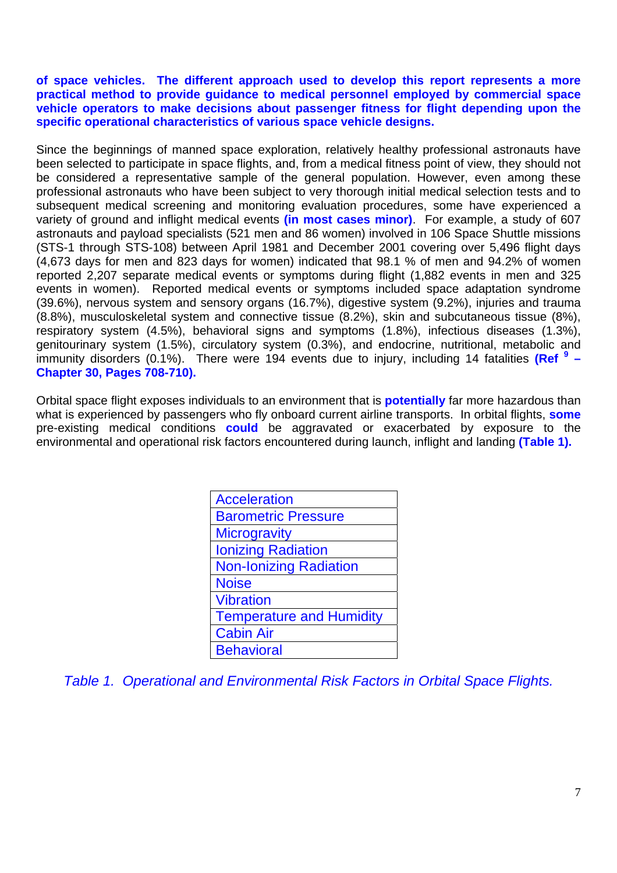#### **of space vehicles. The different approach used to develop this report represents a more practical method to provide guidance to medical personnel employed by commercial space vehicle operators to make decisions about passenger fitness for flight depending upon the specific operational characteristics of various space vehicle designs.**

Since the beginnings of manned space exploration, relatively healthy professional astronauts have been selected to participate in space flights, and, from a medical fitness point of view, they should not be considered a representative sample of the general population. However, even among these professional astronauts who have been subject to very thorough initial medical selection tests and to subsequent medical screening and monitoring evaluation procedures, some have experienced a variety of ground and inflight medical events **(in most cases minor)**. For example, a study of 607 astronauts and payload specialists (521 men and 86 women) involved in 106 Space Shuttle missions (STS-1 through STS-108) between April 1981 and December 2001 covering over 5,496 flight days (4,673 days for men and 823 days for women) indicated that 98.1 % of men and 94.2% of women reported 2,207 separate medical events or symptoms during flight (1,882 events in men and 325 events in women). Reported medical events or symptoms included space adaptation syndrome (39.6%), nervous system and sensory organs (16.7%), digestive system (9.2%), injuries and trauma (8.8%), musculoskeletal system and connective tissue (8.2%), skin and subcutaneous tissue (8%), respiratory system (4.5%), behavioral signs and symptoms (1.8%), infectious diseases (1.3%), genitourinary system (1.5%), circulatory system (0.3%), and endocrine, nutritional, metabolic and immunity disorders (0.1%). There were 194 events due to injury, including 14 fatalities (Ref<sup>9</sup> – **Chapter 30, Pages 708-710).**

Orbital space flight exposes individuals to an environment that is **potentially** far more hazardous than what is experienced by passengers who fly onboard current airline transports. In orbital flights, **some** pre-existing medical conditions **could** be aggravated or exacerbated by exposure to the environmental and operational risk factors encountered during launch, inflight and landing **(Table 1).** 

| <b>Acceleration</b>             |
|---------------------------------|
| <b>Barometric Pressure</b>      |
| <b>Microgravity</b>             |
| <b>Ionizing Radiation</b>       |
| <b>Non-Ionizing Radiation</b>   |
| <b>Noise</b>                    |
| <b>Vibration</b>                |
| <b>Temperature and Humidity</b> |
| <b>Cabin Air</b>                |
| <b>Behavioral</b>               |

*Table 1. Operational and Environmental Risk Factors in Orbital Space Flights.*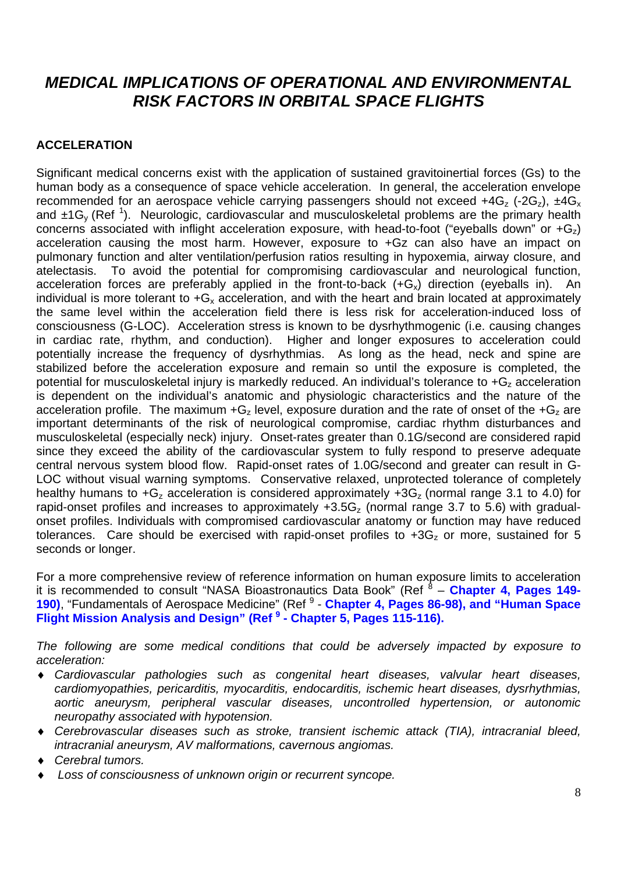## *MEDICAL IMPLICATIONS OF OPERATIONAL AND ENVIRONMENTAL RISK FACTORS IN ORBITAL SPACE FLIGHTS*

### **ACCELERATION**

Significant medical concerns exist with the application of sustained gravitoinertial forces (Gs) to the human body as a consequence of space vehicle acceleration. In general, the acceleration envelope recommended for an aerospace vehicle carrying passengers should not exceed  $+4G_z$  (-2G<sub>z</sub>),  $\pm 4G_x$ and  $\pm 1$ G<sub>y</sub> (Ref<sup>1</sup>). Neurologic, cardiovascular and musculoskeletal problems are the primary health concerns associated with inflight acceleration exposure, with head-to-foot ("eyeballs down" or  $+G<sub>z</sub>$ ) acceleration causing the most harm. However, exposure to +Gz can also have an impact on pulmonary function and alter ventilation/perfusion ratios resulting in hypoxemia, airway closure, and atelectasis. To avoid the potential for compromising cardiovascular and neurological function, acceleration forces are preferably applied in the front-to-back  $(+G<sub>x</sub>)$  direction (eveballs in). An individual is more tolerant to  $+G_x$  acceleration, and with the heart and brain located at approximately the same level within the acceleration field there is less risk for acceleration-induced loss of consciousness (G-LOC). Acceleration stress is known to be dysrhythmogenic (i.e. causing changes in cardiac rate, rhythm, and conduction). Higher and longer exposures to acceleration could potentially increase the frequency of dysrhythmias. As long as the head, neck and spine are stabilized before the acceleration exposure and remain so until the exposure is completed, the potential for musculoskeletal injury is markedly reduced. An individual's tolerance to  $+G<sub>z</sub>$  acceleration is dependent on the individual's anatomic and physiologic characteristics and the nature of the acceleration profile. The maximum  $+G<sub>z</sub>$  level, exposure duration and the rate of onset of the  $+G<sub>z</sub>$  are important determinants of the risk of neurological compromise, cardiac rhythm disturbances and musculoskeletal (especially neck) injury. Onset-rates greater than 0.1G/second are considered rapid since they exceed the ability of the cardiovascular system to fully respond to preserve adequate central nervous system blood flow. Rapid-onset rates of 1.0G/second and greater can result in G-LOC without visual warning symptoms. Conservative relaxed, unprotected tolerance of completely healthy humans to  $+G<sub>z</sub>$  acceleration is considered approximately  $+3G<sub>z</sub>$  (normal range 3.1 to 4.0) for rapid-onset profiles and increases to approximately  $+3.5G<sub>z</sub>$  (normal range 3.7 to 5.6) with gradualonset profiles. Individuals with compromised cardiovascular anatomy or function may have reduced tolerances. Care should be exercised with rapid-onset profiles to  $+3G<sub>z</sub>$  or more, sustained for 5 seconds or longer.

For a more comprehensive review of reference information on human exposure limits to acceleration it is recommended to consult "NASA Bioastronautics Data Book" (Ref <sup>8</sup> - Chapter 4, Pages 149-190), "Fundamentals of Aerospace Medicine" (Ref <sup>9</sup> - Chapter 4, Pages 86-98), and "Human Space **Flight Mission Analysis and Design" (Ref <sup>9</sup> - Chapter 5, Pages 115-116).**

*The following are some medical conditions that could be adversely impacted by exposure to acceleration:* 

- ♦ *Cardiovascular pathologies such as congenital heart diseases, valvular heart diseases, cardiomyopathies, pericarditis, myocarditis, endocarditis, ischemic heart diseases, dysrhythmias, aortic aneurysm, peripheral vascular diseases, uncontrolled hypertension, or autonomic neuropathy associated with hypotension.*
- ♦ *Cerebrovascular diseases such as stroke, transient ischemic attack (TIA), intracranial bleed, intracranial aneurysm, AV malformations, cavernous angiomas.*
- *Cerebral tumors.*
- Loss of consciousness of unknown origin or recurrent syncope.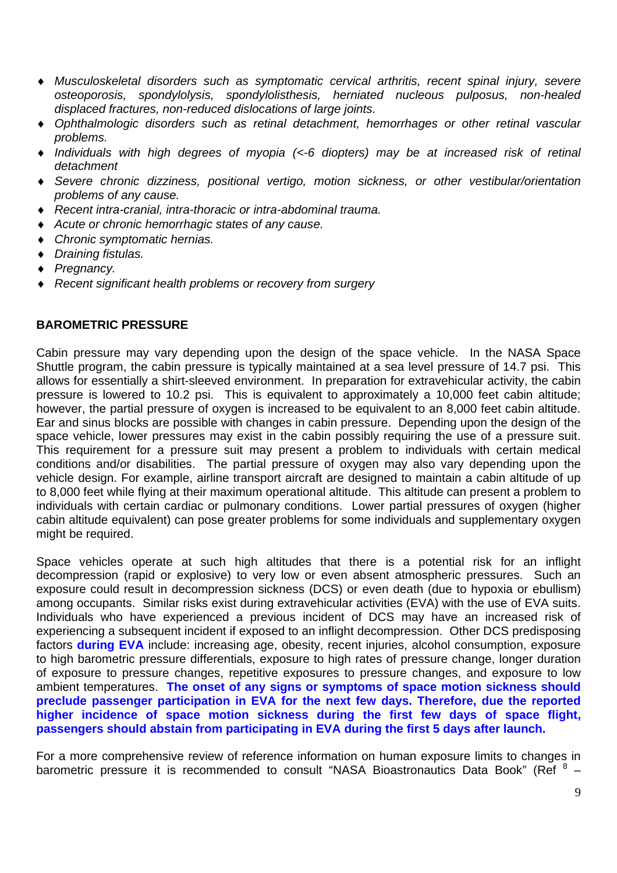- ♦ *Musculoskeletal disorders such as symptomatic cervical arthritis, recent spinal injury, severe osteoporosis, spondylolysis, spondylolisthesis, herniated nucleous pulposus, non-healed displaced fractures, non-reduced dislocations of large joints.*
- Ophthalmologic disorders such as retinal detachment, hemorrhages or other retinal vascular *problems.*
- Individuals with high degrees of myopia (<-6 diopters) may be at increased risk of retinal *detachment*
- Severe chronic dizziness, positional vertigo, motion sickness, or other vestibular/orientation *problems of any cause.*
- **Recent intra-cranial, intra-thoracic or intra-abdominal trauma.**
- Acute or chronic hemorrhagic states of any cause.
- ♦ *Chronic symptomatic hernias.*
- ♦ *Draining fistulas.*
- ♦ *Pregnancy.*
- *Recent significant health problems or recovery from surgery*

### **BAROMETRIC PRESSURE**

Cabin pressure may vary depending upon the design of the space vehicle. In the NASA Space Shuttle program, the cabin pressure is typically maintained at a sea level pressure of 14.7 psi. This allows for essentially a shirt-sleeved environment. In preparation for extravehicular activity, the cabin pressure is lowered to 10.2 psi. This is equivalent to approximately a 10,000 feet cabin altitude; however, the partial pressure of oxygen is increased to be equivalent to an 8,000 feet cabin altitude. Ear and sinus blocks are possible with changes in cabin pressure. Depending upon the design of the space vehicle, lower pressures may exist in the cabin possibly requiring the use of a pressure suit. This requirement for a pressure suit may present a problem to individuals with certain medical conditions and/or disabilities. The partial pressure of oxygen may also vary depending upon the vehicle design. For example, airline transport aircraft are designed to maintain a cabin altitude of up to 8,000 feet while flying at their maximum operational altitude. This altitude can present a problem to individuals with certain cardiac or pulmonary conditions. Lower partial pressures of oxygen (higher cabin altitude equivalent) can pose greater problems for some individuals and supplementary oxygen might be required.

Space vehicles operate at such high altitudes that there is a potential risk for an inflight decompression (rapid or explosive) to very low or even absent atmospheric pressures. Such an exposure could result in decompression sickness (DCS) or even death (due to hypoxia or ebullism) among occupants. Similar risks exist during extravehicular activities (EVA) with the use of EVA suits. Individuals who have experienced a previous incident of DCS may have an increased risk of experiencing a subsequent incident if exposed to an inflight decompression. Other DCS predisposing factors **during EVA** include: increasing age, obesity, recent injuries, alcohol consumption, exposure to high barometric pressure differentials, exposure to high rates of pressure change, longer duration of exposure to pressure changes, repetitive exposures to pressure changes, and exposure to low ambient temperatures. **The onset of any signs or symptoms of space motion sickness should preclude passenger participation in EVA for the next few days. Therefore, due the reported higher incidence of space motion sickness during the first few days of space flight, passengers should abstain from participating in EVA during the first 5 days after launch.** 

For a more comprehensive review of reference information on human exposure limits to changes in barometric pressure it is recommended to consult "NASA Bioastronautics Data Book" (Ref<sup>8</sup> -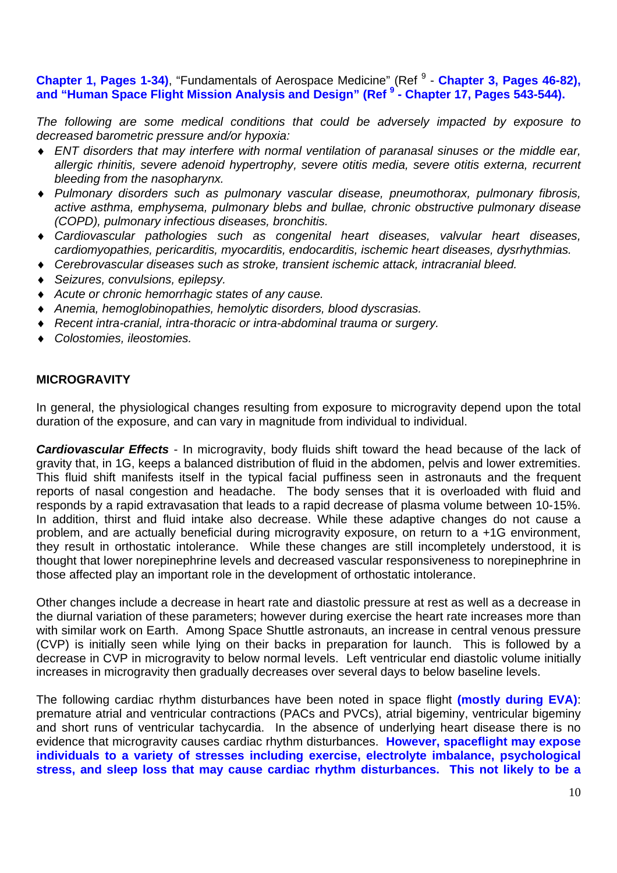### **Chapter 1, Pages 1-34)**, "Fundamentals of Aerospace Medicine" (Ref <sup>9</sup> - Chapter 3, Pages 46-82), **and "Human Space Flight Mission Analysis and Design" (Ref <sup>9</sup> - Chapter 17, Pages 543-544).**

*The following are some medical conditions that could be adversely impacted by exposure to decreased barometric pressure and/or hypoxia:* 

- ♦ *ENT disorders that may interfere with normal ventilation of paranasal sinuses or the middle ear, allergic rhinitis, severe adenoid hypertrophy, severe otitis media, severe otitis externa, recurrent bleeding from the nasopharynx.*
- ♦ *Pulmonary disorders such as pulmonary vascular disease, pneumothorax, pulmonary fibrosis, active asthma, emphysema, pulmonary blebs and bullae, chronic obstructive pulmonary disease (COPD), pulmonary infectious diseases, bronchitis.*
- ♦ *Cardiovascular pathologies such as congenital heart diseases, valvular heart diseases, cardiomyopathies, pericarditis, myocarditis, endocarditis, ischemic heart diseases, dysrhythmias.*
- ♦ *Cerebrovascular diseases such as stroke, transient ischemic attack, intracranial bleed.*
- Seizures, convulsions, epilepsy.
- ♦ *Acute or chronic hemorrhagic states of any cause.*
- ♦ *Anemia, hemoglobinopathies, hemolytic disorders, blood dyscrasias.*
- ♦ *Recent intra-cranial, intra-thoracic or intra-abdominal trauma or surgery.*
- ♦ *Colostomies, ileostomies.*

### **MICROGRAVITY**

In general, the physiological changes resulting from exposure to microgravity depend upon the total duration of the exposure, and can vary in magnitude from individual to individual.

*Cardiovascular Effects* - In microgravity, body fluids shift toward the head because of the lack of gravity that, in 1G, keeps a balanced distribution of fluid in the abdomen, pelvis and lower extremities. This fluid shift manifests itself in the typical facial puffiness seen in astronauts and the frequent reports of nasal congestion and headache. The body senses that it is overloaded with fluid and responds by a rapid extravasation that leads to a rapid decrease of plasma volume between 10-15%. In addition, thirst and fluid intake also decrease. While these adaptive changes do not cause a problem, and are actually beneficial during microgravity exposure, on return to a +1G environment, they result in orthostatic intolerance. While these changes are still incompletely understood, it is thought that lower norepinephrine levels and decreased vascular responsiveness to norepinephrine in those affected play an important role in the development of orthostatic intolerance.

Other changes include a decrease in heart rate and diastolic pressure at rest as well as a decrease in the diurnal variation of these parameters; however during exercise the heart rate increases more than with similar work on Earth. Among Space Shuttle astronauts, an increase in central venous pressure (CVP) is initially seen while lying on their backs in preparation for launch. This is followed by a decrease in CVP in microgravity to below normal levels. Left ventricular end diastolic volume initially increases in microgravity then gradually decreases over several days to below baseline levels.

The following cardiac rhythm disturbances have been noted in space flight **(mostly during EVA)**: premature atrial and ventricular contractions (PACs and PVCs), atrial bigeminy, ventricular bigeminy and short runs of ventricular tachycardia. In the absence of underlying heart disease there is no evidence that microgravity causes cardiac rhythm disturbances. **However, spaceflight may expose individuals to a variety of stresses including exercise, electrolyte imbalance, psychological stress, and sleep loss that may cause cardiac rhythm disturbances. This not likely to be a**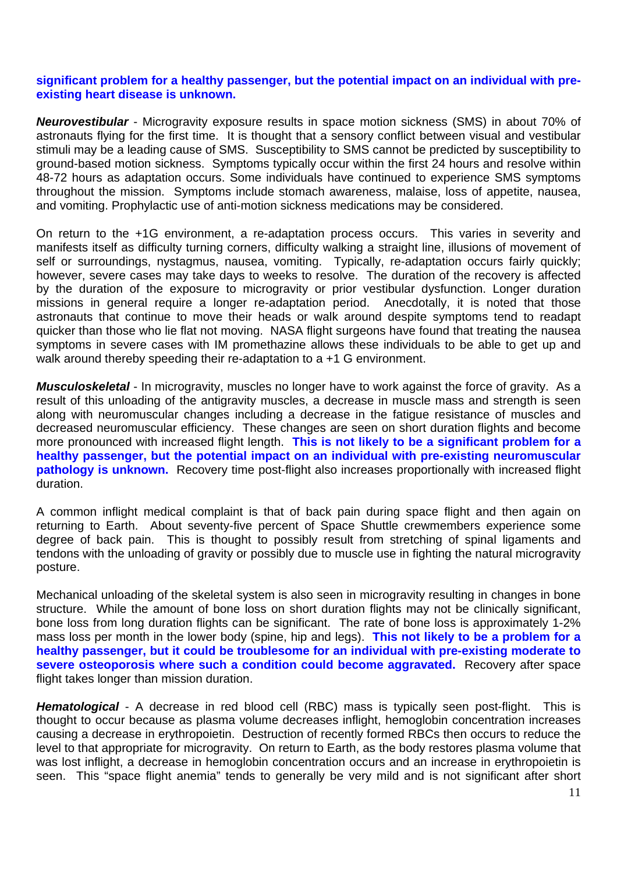### **significant problem for a healthy passenger, but the potential impact on an individual with preexisting heart disease is unknown.**

*Neurovestibular* - Microgravity exposure results in space motion sickness (SMS) in about 70% of astronauts flying for the first time. It is thought that a sensory conflict between visual and vestibular stimuli may be a leading cause of SMS. Susceptibility to SMS cannot be predicted by susceptibility to ground-based motion sickness. Symptoms typically occur within the first 24 hours and resolve within 48-72 hours as adaptation occurs. Some individuals have continued to experience SMS symptoms throughout the mission. Symptoms include stomach awareness, malaise, loss of appetite, nausea, and vomiting. Prophylactic use of anti-motion sickness medications may be considered.

On return to the +1G environment, a re-adaptation process occurs. This varies in severity and manifests itself as difficulty turning corners, difficulty walking a straight line, illusions of movement of self or surroundings, nystagmus, nausea, vomiting. Typically, re-adaptation occurs fairly quickly; however, severe cases may take days to weeks to resolve. The duration of the recovery is affected by the duration of the exposure to microgravity or prior vestibular dysfunction. Longer duration missions in general require a longer re-adaptation period. Anecdotally, it is noted that those astronauts that continue to move their heads or walk around despite symptoms tend to readapt quicker than those who lie flat not moving. NASA flight surgeons have found that treating the nausea symptoms in severe cases with IM promethazine allows these individuals to be able to get up and walk around thereby speeding their re-adaptation to a +1 G environment.

*Musculoskeletal* - In microgravity, muscles no longer have to work against the force of gravity. As a result of this unloading of the antigravity muscles, a decrease in muscle mass and strength is seen along with neuromuscular changes including a decrease in the fatigue resistance of muscles and decreased neuromuscular efficiency. These changes are seen on short duration flights and become more pronounced with increased flight length. **This is not likely to be a significant problem for a healthy passenger, but the potential impact on an individual with pre-existing neuromuscular pathology is unknown.** Recovery time post-flight also increases proportionally with increased flight duration.

A common inflight medical complaint is that of back pain during space flight and then again on returning to Earth. About seventy-five percent of Space Shuttle crewmembers experience some degree of back pain. This is thought to possibly result from stretching of spinal ligaments and tendons with the unloading of gravity or possibly due to muscle use in fighting the natural microgravity posture.

Mechanical unloading of the skeletal system is also seen in microgravity resulting in changes in bone structure. While the amount of bone loss on short duration flights may not be clinically significant, bone loss from long duration flights can be significant. The rate of bone loss is approximately 1-2% mass loss per month in the lower body (spine, hip and legs). **This not likely to be a problem for a healthy passenger, but it could be troublesome for an individual with pre-existing moderate to severe osteoporosis where such a condition could become aggravated.** Recovery after space flight takes longer than mission duration.

*Hematological* - A decrease in red blood cell (RBC) mass is typically seen post-flight. This is thought to occur because as plasma volume decreases inflight, hemoglobin concentration increases causing a decrease in erythropoietin. Destruction of recently formed RBCs then occurs to reduce the level to that appropriate for microgravity. On return to Earth, as the body restores plasma volume that was lost inflight, a decrease in hemoglobin concentration occurs and an increase in erythropoietin is seen. This "space flight anemia" tends to generally be very mild and is not significant after short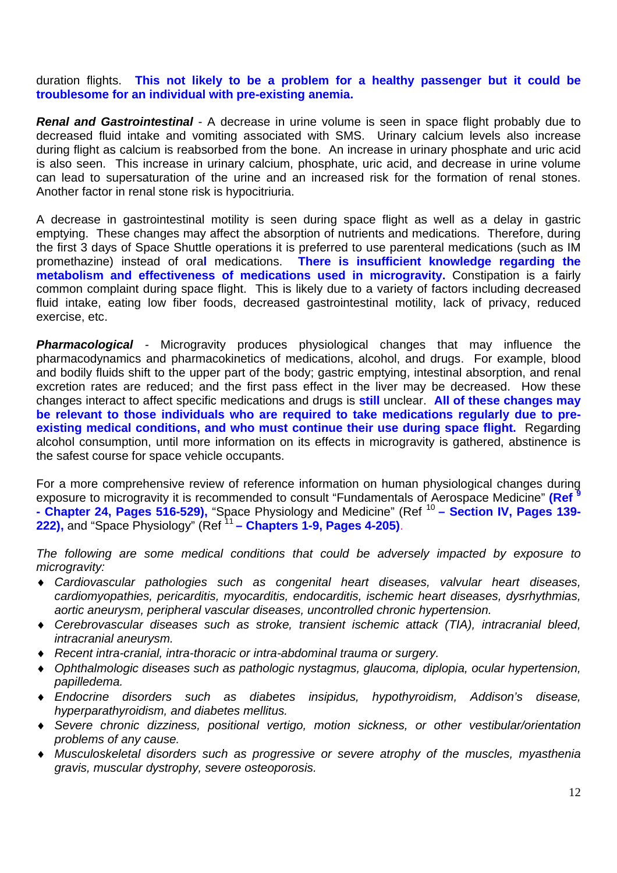duration flights. **This not likely to be a problem for a healthy passenger but it could be troublesome for an individual with pre-existing anemia.**

*Renal and Gastrointestinal* - A decrease in urine volume is seen in space flight probably due to decreased fluid intake and vomiting associated with SMS. Urinary calcium levels also increase during flight as calcium is reabsorbed from the bone. An increase in urinary phosphate and uric acid is also seen. This increase in urinary calcium, phosphate, uric acid, and decrease in urine volume can lead to supersaturation of the urine and an increased risk for the formation of renal stones. Another factor in renal stone risk is hypocitriuria.

A decrease in gastrointestinal motility is seen during space flight as well as a delay in gastric emptying. These changes may affect the absorption of nutrients and medications. Therefore, during the first 3 days of Space Shuttle operations it is preferred to use parenteral medications (such as IM promethazine) instead of ora**l** medications. **There is insufficient knowledge regarding the metabolism and effectiveness of medications used in microgravity.** Constipation is a fairly common complaint during space flight. This is likely due to a variety of factors including decreased fluid intake, eating low fiber foods, decreased gastrointestinal motility, lack of privacy, reduced exercise, etc.

*Pharmacological -* Microgravity produces physiological changes that may influence the pharmacodynamics and pharmacokinetics of medications, alcohol, and drugs. For example, blood and bodily fluids shift to the upper part of the body; gastric emptying, intestinal absorption, and renal excretion rates are reduced; and the first pass effect in the liver may be decreased. How these changes interact to affect specific medications and drugs is **still** unclear. **All of these changes may be relevant to those individuals who are required to take medications regularly due to preexisting medical conditions, and who must continue their use during space flight.** Regarding alcohol consumption, until more information on its effects in microgravity is gathered, abstinence is the safest course for space vehicle occupants.

For a more comprehensive review of reference information on human physiological changes during exposure to microgravity it is recommended to consult "Fundamentals of Aerospace Medicine" **(Ref <sup>9</sup>** - Chapter 24, Pages 516-529), "Space Physiology and Medicine" (Ref<sup>10</sup> - Section IV, Pages 139-222), and "Space Physiology" (Ref<sup>11</sup> – Chapters 1-9, Pages 4-205).

*The following are some medical conditions that could be adversely impacted by exposure to microgravity:* 

- ♦ *Cardiovascular pathologies such as congenital heart diseases, valvular heart diseases, cardiomyopathies, pericarditis, myocarditis, endocarditis, ischemic heart diseases, dysrhythmias, aortic aneurysm, peripheral vascular diseases, uncontrolled chronic hypertension.*
- ♦ *Cerebrovascular diseases such as stroke, transient ischemic attack (TIA), intracranial bleed, intracranial aneurysm.*
- *Recent intra-cranial, intra-thoracic or intra-abdominal trauma or surgery.*
- ♦ *Ophthalmologic diseases such as pathologic nystagmus, glaucoma, diplopia, ocular hypertension, papilledema.*
- ♦ *Endocrine disorders such as diabetes insipidus, hypothyroidism, Addison's disease, hyperparathyroidism, and diabetes mellitus.*
- ♦ *Severe chronic dizziness, positional vertigo, motion sickness, or other vestibular/orientation problems of any cause.*
- ♦ *Musculoskeletal disorders such as progressive or severe atrophy of the muscles, myasthenia gravis, muscular dystrophy, severe osteoporosis.*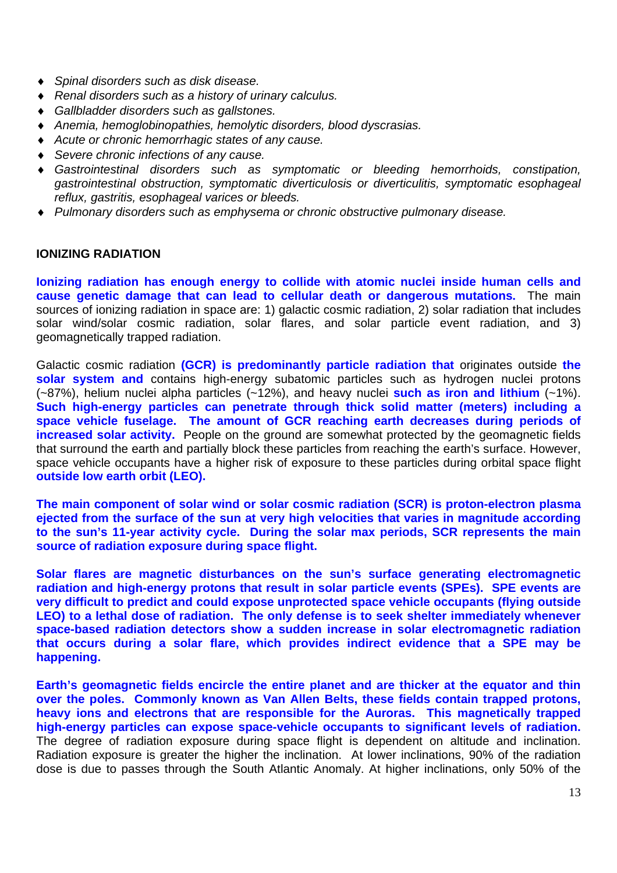- ♦ *Spinal disorders such as disk disease.*
- ♦ *Renal disorders such as a history of urinary calculus.*
- ♦ *Gallbladder disorders such as gallstones.*
- ♦ *Anemia, hemoglobinopathies, hemolytic disorders, blood dyscrasias.*
- Acute or chronic hemorrhagic states of any cause.
- Severe chronic infections of any cause.
- Gastrointestinal disorders such as symptomatic or bleeding hemorrhoids, constipation, *gastrointestinal obstruction, symptomatic diverticulosis or diverticulitis, symptomatic esophageal reflux, gastritis, esophageal varices or bleeds.*
- ♦ *Pulmonary disorders such as emphysema or chronic obstructive pulmonary disease.*

### **IONIZING RADIATION**

**Ionizing radiation has enough energy to collide with atomic nuclei inside human cells and cause genetic damage that can lead to cellular death or dangerous mutations.** The main sources of ionizing radiation in space are: 1) galactic cosmic radiation, 2) solar radiation that includes solar wind/solar cosmic radiation, solar flares, and solar particle event radiation, and 3) geomagnetically trapped radiation.

Galactic cosmic radiation **(GCR) is predominantly particle radiation that** originates outside **the solar system and** contains high-energy subatomic particles such as hydrogen nuclei protons (~87%), helium nuclei alpha particles (~12%), and heavy nuclei **such as iron and lithium** (~1%). **Such high-energy particles can penetrate through thick solid matter (meters) including a space vehicle fuselage. The amount of GCR reaching earth decreases during periods of increased solar activity.** People on the ground are somewhat protected by the geomagnetic fields that surround the earth and partially block these particles from reaching the earth's surface. However, space vehicle occupants have a higher risk of exposure to these particles during orbital space flight **outside low earth orbit (LEO).**

**The main component of solar wind or solar cosmic radiation (SCR) is proton-electron plasma ejected from the surface of the sun at very high velocities that varies in magnitude according to the sun's 11-year activity cycle. During the solar max periods, SCR represents the main source of radiation exposure during space flight.** 

**Solar flares are magnetic disturbances on the sun's surface generating electromagnetic radiation and high-energy protons that result in solar particle events (SPEs). SPE events are very difficult to predict and could expose unprotected space vehicle occupants (flying outside LEO) to a lethal dose of radiation. The only defense is to seek shelter immediately whenever space-based radiation detectors show a sudden increase in solar electromagnetic radiation that occurs during a solar flare, which provides indirect evidence that a SPE may be happening.** 

**Earth's geomagnetic fields encircle the entire planet and are thicker at the equator and thin over the poles. Commonly known as Van Allen Belts, these fields contain trapped protons, heavy ions and electrons that are responsible for the Auroras. This magnetically trapped high-energy particles can expose space-vehicle occupants to significant levels of radiation.** The degree of radiation exposure during space flight is dependent on altitude and inclination. Radiation exposure is greater the higher the inclination. At lower inclinations, 90% of the radiation dose is due to passes through the South Atlantic Anomaly. At higher inclinations, only 50% of the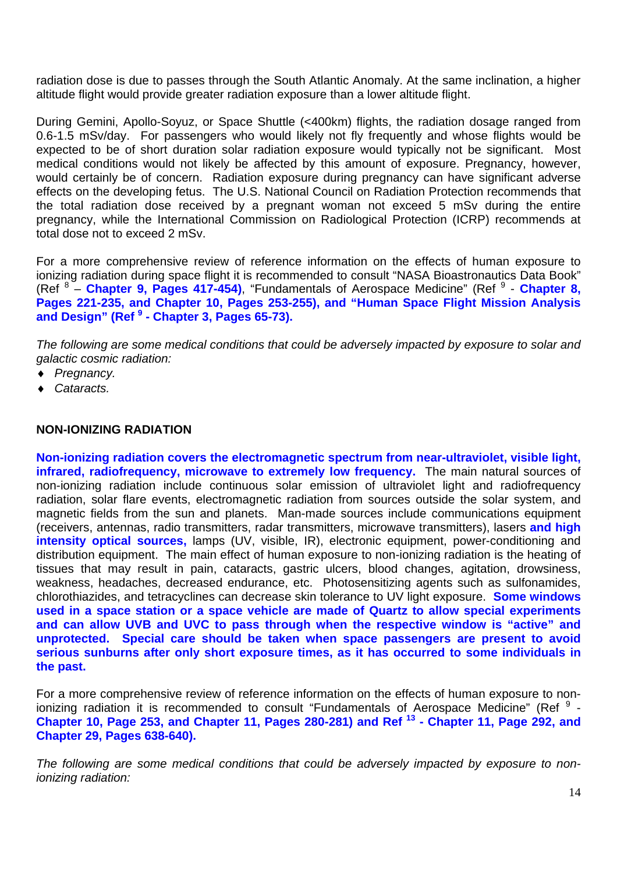radiation dose is due to passes through the South Atlantic Anomaly. At the same inclination, a higher altitude flight would provide greater radiation exposure than a lower altitude flight.

During Gemini, Apollo-Soyuz, or Space Shuttle (<400km) flights, the radiation dosage ranged from 0.6-1.5 mSv/day. For passengers who would likely not fly frequently and whose flights would be expected to be of short duration solar radiation exposure would typically not be significant. Most medical conditions would not likely be affected by this amount of exposure. Pregnancy, however, would certainly be of concern. Radiation exposure during pregnancy can have significant adverse effects on the developing fetus. The U.S. National Council on Radiation Protection recommends that the total radiation dose received by a pregnant woman not exceed 5 mSv during the entire pregnancy, while the International Commission on Radiological Protection (ICRP) recommends at total dose not to exceed 2 mSv.

For a more comprehensive review of reference information on the effects of human exposure to ionizing radiation during space flight it is recommended to consult "NASA Bioastronautics Data Book" (Ref <sup>8</sup> – Chapter 9, Pages 417-454), "Fundamentals of Aerospace Medicine" (Ref <sup>9</sup> - Chapter 8, **Pages 221-235, and Chapter 10, Pages 253-255), and "Human Space Flight Mission Analysis and Design" (Ref 9 - Chapter 3, Pages 65-73).**

*The following are some medical conditions that could be adversely impacted by exposure to solar and galactic cosmic radiation:* 

- ♦ *Pregnancy.*
- ♦ *Cataracts.*

### **NON-IONIZING RADIATION**

**Non-ionizing radiation covers the electromagnetic spectrum from near-ultraviolet, visible light, infrared, radiofrequency, microwave to extremely low frequency.** The main natural sources of non-ionizing radiation include continuous solar emission of ultraviolet light and radiofrequency radiation, solar flare events, electromagnetic radiation from sources outside the solar system, and magnetic fields from the sun and planets. Man-made sources include communications equipment (receivers, antennas, radio transmitters, radar transmitters, microwave transmitters), lasers **and high intensity optical sources,** lamps (UV, visible, IR), electronic equipment, power-conditioning and distribution equipment. The main effect of human exposure to non-ionizing radiation is the heating of tissues that may result in pain, cataracts, gastric ulcers, blood changes, agitation, drowsiness, weakness, headaches, decreased endurance, etc. Photosensitizing agents such as sulfonamides, chlorothiazides, and tetracyclines can decrease skin tolerance to UV light exposure. **Some windows used in a space station or a space vehicle are made of Quartz to allow special experiments and can allow UVB and UVC to pass through when the respective window is "active" and unprotected. Special care should be taken when space passengers are present to avoid serious sunburns after only short exposure times, as it has occurred to some individuals in the past.** 

For a more comprehensive review of reference information on the effects of human exposure to nonionizing radiation it is recommended to consult "Fundamentals of Aerospace Medicine" (Ref  $9$  -**Chapter 10, Page 253, and Chapter 11, Pages 280-281) and Ref 13 - Chapter 11, Page 292, and Chapter 29, Pages 638-640).** 

*The following are some medical conditions that could be adversely impacted by exposure to nonionizing radiation:*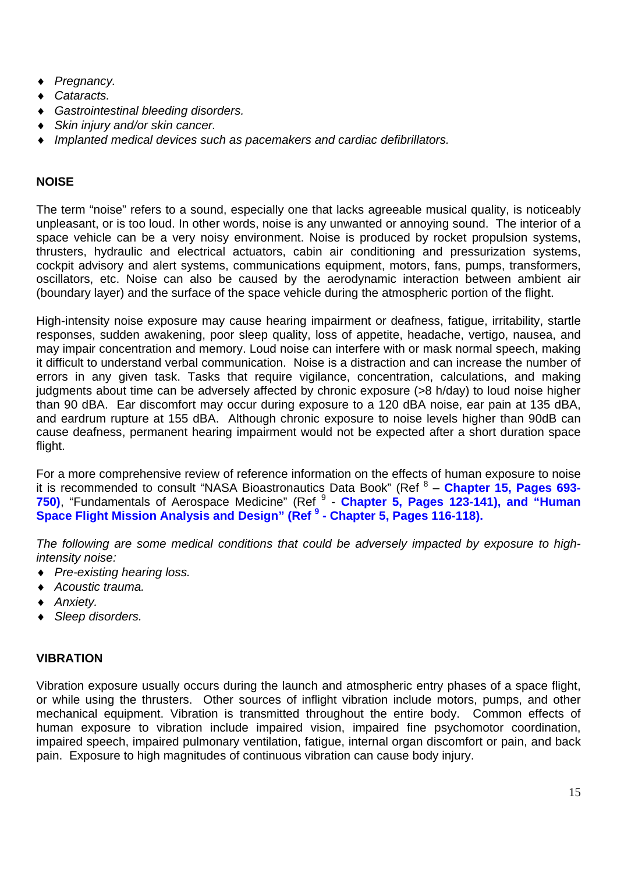- *Pregnancy.*
- Cataracts.
- $G$ astrointestinal bleeding disorders.
- ♦ *Skin injury and/or skin cancer.*
- *Implanted medical devices such as pacemakers and cardiac defibrillators.*

### **NOISE**

The term "noise" refers to a sound, especially one that lacks agreeable musical quality, is noticeably unpleasant, or is too loud. In other words, noise is any unwanted or annoying sound. The interior of a space vehicle can be a very noisy environment. Noise is produced by rocket propulsion systems, thrusters, hydraulic and electrical actuators, cabin air conditioning and pressurization systems, cockpit advisory and alert systems, communications equipment, motors, fans, pumps, transformers, oscillators, etc. Noise can also be caused by the aerodynamic interaction between ambient air (boundary layer) and the surface of the space vehicle during the atmospheric portion of the flight.

High-intensity noise exposure may cause hearing impairment or deafness, fatigue, irritability, startle responses, sudden awakening, poor sleep quality, loss of appetite, headache, vertigo, nausea, and may impair concentration and memory. Loud noise can interfere with or mask normal speech, making it difficult to understand verbal communication. Noise is a distraction and can increase the number of errors in any given task. Tasks that require vigilance, concentration, calculations, and making judgments about time can be adversely affected by chronic exposure (>8 h/day) to loud noise higher than 90 dBA. Ear discomfort may occur during exposure to a 120 dBA noise, ear pain at 135 dBA, and eardrum rupture at 155 dBA. Although chronic exposure to noise levels higher than 90dB can cause deafness, permanent hearing impairment would not be expected after a short duration space flight.

For a more comprehensive review of reference information on the effects of human exposure to noise it is recommended to consult "NASA Bioastronautics Data Book" (Ref <sup>8</sup> - Chapter 15, Pages 693-750), "Fundamentals of Aerospace Medicine" (Ref <sup>9</sup> - Chapter 5, Pages 123-141), and "Human **Space Flight Mission Analysis and Design" (Ref <sup>9</sup> - Chapter 5, Pages 116-118).**

*The following are some medical conditions that could be adversely impacted by exposure to highintensity noise:* 

- ♦ *Pre-existing hearing loss.*
- ♦ *Acoustic trauma.*
- ♦ *Anxiety.*
- ♦ *Sleep disorders.*

### **VIBRATION**

Vibration exposure usually occurs during the launch and atmospheric entry phases of a space flight, or while using the thrusters. Other sources of inflight vibration include motors, pumps, and other mechanical equipment. Vibration is transmitted throughout the entire body. Common effects of human exposure to vibration include impaired vision, impaired fine psychomotor coordination, impaired speech, impaired pulmonary ventilation, fatigue, internal organ discomfort or pain, and back pain. Exposure to high magnitudes of continuous vibration can cause body injury.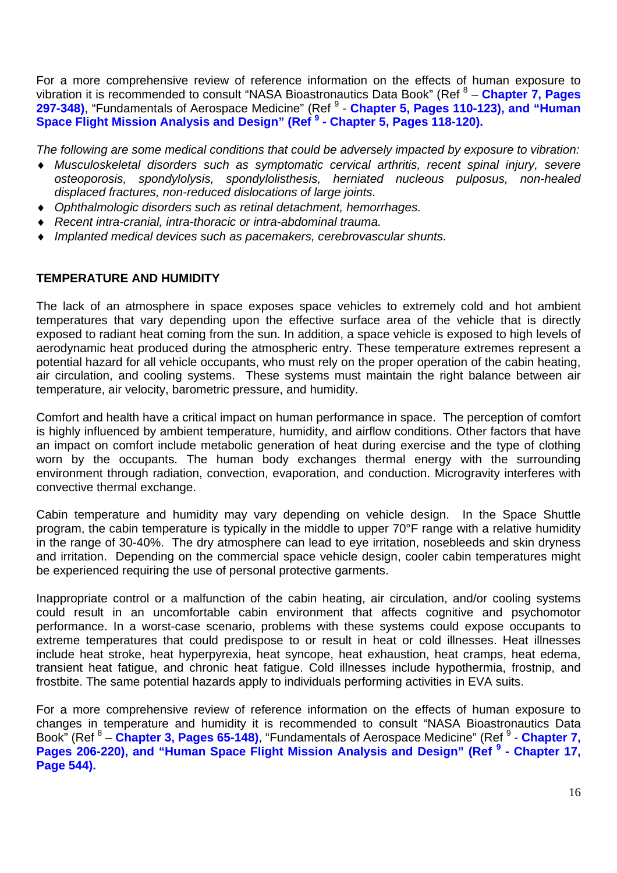For a more comprehensive review of reference information on the effects of human exposure to vibration it is recommended to consult "NASA Bioastronautics Data Book" (Ref <sup>8</sup> – **Chapter 7, Pages**  297-348), "Fundamentals of Aerospace Medicine" (Ref <sup>9</sup> - Chapter 5, Pages 110-123), and "Human **Space Flight Mission Analysis and Design" (Ref <sup>9</sup> - Chapter 5, Pages 118-120).**

*The following are some medical conditions that could be adversely impacted by exposure to vibration:* 

- ♦ *Musculoskeletal disorders such as symptomatic cervical arthritis, recent spinal injury, severe osteoporosis, spondylolysis, spondylolisthesis, herniated nucleous pulposus, non-healed displaced fractures, non-reduced dislocations of large joints.*
- ♦ *Ophthalmologic disorders such as retinal detachment, hemorrhages.*
- ♦ *Recent intra-cranial, intra-thoracic or intra-abdominal trauma.*
- ♦ *Implanted medical devices such as pacemakers, cerebrovascular shunts.*

### **TEMPERATURE AND HUMIDITY**

The lack of an atmosphere in space exposes space vehicles to extremely cold and hot ambient temperatures that vary depending upon the effective surface area of the vehicle that is directly exposed to radiant heat coming from the sun. In addition, a space vehicle is exposed to high levels of aerodynamic heat produced during the atmospheric entry. These temperature extremes represent a potential hazard for all vehicle occupants, who must rely on the proper operation of the cabin heating, air circulation, and cooling systems. These systems must maintain the right balance between air temperature, air velocity, barometric pressure, and humidity.

Comfort and health have a critical impact on human performance in space. The perception of comfort is highly influenced by ambient temperature, humidity, and airflow conditions. Other factors that have an impact on comfort include metabolic generation of heat during exercise and the type of clothing worn by the occupants. The human body exchanges thermal energy with the surrounding environment through radiation, convection, evaporation, and conduction. Microgravity interferes with convective thermal exchange.

Cabin temperature and humidity may vary depending on vehicle design. In the Space Shuttle program, the cabin temperature is typically in the middle to upper 70°F range with a relative humidity in the range of 30-40%. The dry atmosphere can lead to eye irritation, nosebleeds and skin dryness and irritation. Depending on the commercial space vehicle design, cooler cabin temperatures might be experienced requiring the use of personal protective garments.

Inappropriate control or a malfunction of the cabin heating, air circulation, and/or cooling systems could result in an uncomfortable cabin environment that affects cognitive and psychomotor performance. In a worst-case scenario, problems with these systems could expose occupants to extreme temperatures that could predispose to or result in heat or cold illnesses. Heat illnesses include heat stroke, heat hyperpyrexia, heat syncope, heat exhaustion, heat cramps, heat edema, transient heat fatigue, and chronic heat fatigue. Cold illnesses include hypothermia, frostnip, and frostbite. The same potential hazards apply to individuals performing activities in EVA suits.

For a more comprehensive review of reference information on the effects of human exposure to changes in temperature and humidity it is recommended to consult "NASA Bioastronautics Data Book" (Ref <sup>8</sup> – Chapter 3, Pages 65-148), "Fundamentals of Aerospace Medicine" (Ref <sup>9</sup> - Chapter 7, Pages 206-220), and "Human Space Flight Mission Analysis and Design" (Ref<sup>9</sup> - Chapter 17, **Page 544).**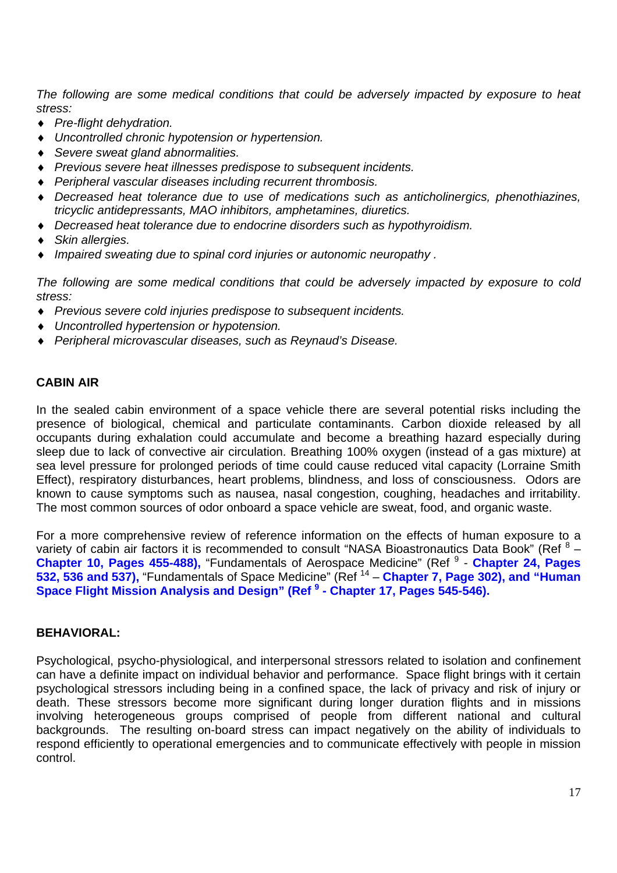*The following are some medical conditions that could be adversely impacted by exposure to heat stress:* 

- ♦ *Pre-flight dehydration.*
- ♦ *Uncontrolled chronic hypotension or hypertension.*
- ♦ *Severe sweat gland abnormalities.*
- ♦ *Previous severe heat illnesses predispose to subsequent incidents.*
- ♦ *Peripheral vascular diseases including recurrent thrombosis.*
- ♦ *Decreased heat tolerance due to use of medications such as anticholinergics, phenothiazines, tricyclic antidepressants, MAO inhibitors, amphetamines, diuretics.*
- ♦ *Decreased heat tolerance due to endocrine disorders such as hypothyroidism.*
- Skin allergies.
- Impaired sweating due to spinal cord injuries or autonomic neuropathy.

*The following are some medical conditions that could be adversely impacted by exposure to cold stress:* 

- ♦ *Previous severe cold injuries predispose to subsequent incidents.*
- ♦ *Uncontrolled hypertension or hypotension.*
- ♦ *Peripheral microvascular diseases, such as Reynaud's Disease.*

### **CABIN AIR**

In the sealed cabin environment of a space vehicle there are several potential risks including the presence of biological, chemical and particulate contaminants. Carbon dioxide released by all occupants during exhalation could accumulate and become a breathing hazard especially during sleep due to lack of convective air circulation. Breathing 100% oxygen (instead of a gas mixture) at sea level pressure for prolonged periods of time could cause reduced vital capacity (Lorraine Smith Effect), respiratory disturbances, heart problems, blindness, and loss of consciousness. Odors are known to cause symptoms such as nausea, nasal congestion, coughing, headaches and irritability. The most common sources of odor onboard a space vehicle are sweat, food, and organic waste.

For a more comprehensive review of reference information on the effects of human exposure to a variety of cabin air factors it is recommended to consult "NASA Bioastronautics Data Book" (Ref  $8-$ **Chapter 10, Pages 455-488), "Fundamentals of Aerospace Medicine" (Ref<sup>9</sup> - Chapter 24, Pages 532, 536 and 537),** "Fundamentals of Space Medicine" (Ref 14 – **Chapter 7, Page 302), and "Human Space Flight Mission Analysis and Design" (Ref <sup>9</sup> - Chapter 17, Pages 545-546).**

#### **BEHAVIORAL:**

Psychological, psycho-physiological, and interpersonal stressors related to isolation and confinement can have a definite impact on individual behavior and performance. Space flight brings with it certain psychological stressors including being in a confined space, the lack of privacy and risk of injury or death. These stressors become more significant during longer duration flights and in missions involving heterogeneous groups comprised of people from different national and cultural backgrounds. The resulting on-board stress can impact negatively on the ability of individuals to respond efficiently to operational emergencies and to communicate effectively with people in mission control.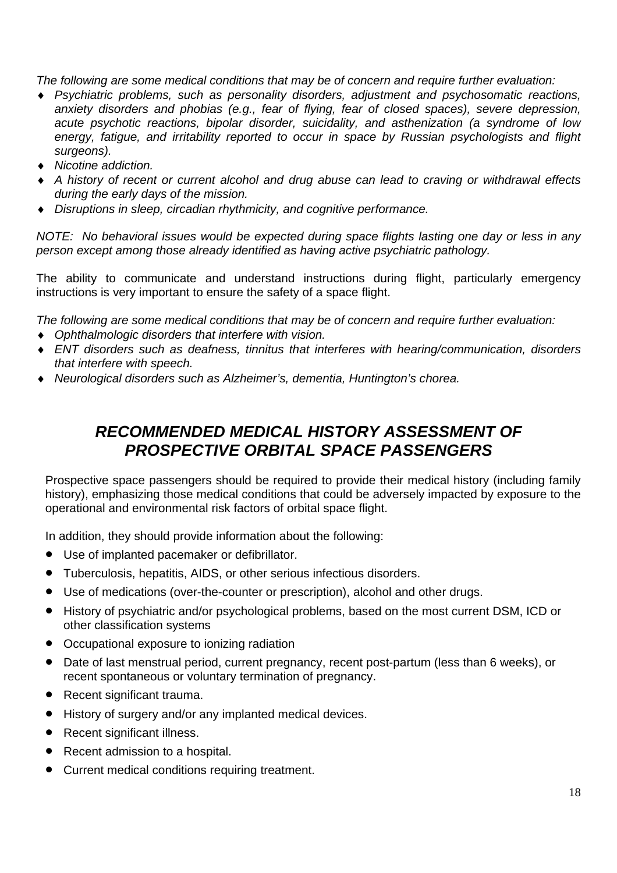*The following are some medical conditions that may be of concern and require further evaluation:* 

- ♦ *Psychiatric problems, such as personality disorders, adjustment and psychosomatic reactions, anxiety disorders and phobias (e.g., fear of flying, fear of closed spaces), severe depression, acute psychotic reactions, bipolar disorder, suicidality, and asthenization (a syndrome of low energy, fatigue, and irritability reported to occur in space by Russian psychologists and flight surgeons).*
- ♦ *Nicotine addiction.*
- ♦ *A history of recent or current alcohol and drug abuse can lead to craving or withdrawal effects during the early days of the mission.*
- ♦ *Disruptions in sleep, circadian rhythmicity, and cognitive performance.*

*NOTE: No behavioral issues would be expected during space flights lasting one day or less in any person except among those already identified as having active psychiatric pathology.* 

The ability to communicate and understand instructions during flight, particularly emergency instructions is very important to ensure the safety of a space flight.

*The following are some medical conditions that may be of concern and require further evaluation:* 

- ♦ *Ophthalmologic disorders that interfere with vision.*
- ♦ *ENT disorders such as deafness, tinnitus that interferes with hearing/communication, disorders that interfere with speech.*
- ♦ *Neurological disorders such as Alzheimer's, dementia, Huntington's chorea.*

## *RECOMMENDED MEDICAL HISTORY ASSESSMENT OF PROSPECTIVE ORBITAL SPACE PASSENGERS*

Prospective space passengers should be required to provide their medical history (including family history), emphasizing those medical conditions that could be adversely impacted by exposure to the operational and environmental risk factors of orbital space flight.

In addition, they should provide information about the following:

- Use of implanted pacemaker or defibrillator.
- Tuberculosis, hepatitis, AIDS, or other serious infectious disorders.
- Use of medications (over-the-counter or prescription), alcohol and other drugs.
- History of psychiatric and/or psychological problems, based on the most current DSM, ICD or other classification systems
- Occupational exposure to ionizing radiation
- Date of last menstrual period, current pregnancy, recent post-partum (less than 6 weeks), or recent spontaneous or voluntary termination of pregnancy.
- Recent significant trauma.
- History of surgery and/or any implanted medical devices.
- Recent significant illness.
- Recent admission to a hospital.
- Current medical conditions requiring treatment.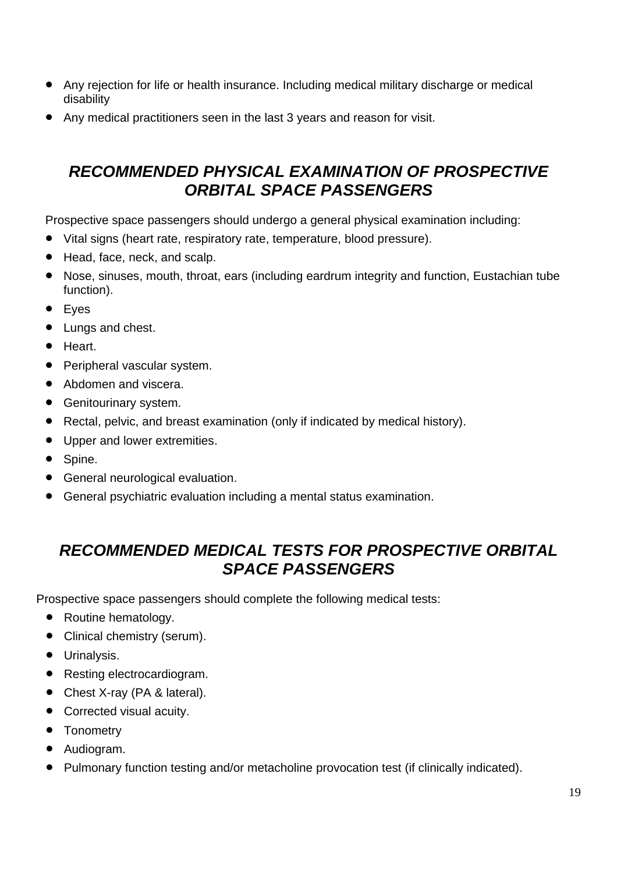- Any rejection for life or health insurance. Including medical military discharge or medical disability
- Any medical practitioners seen in the last 3 years and reason for visit.

## *RECOMMENDED PHYSICAL EXAMINATION OF PROSPECTIVE ORBITAL SPACE PASSENGERS*

Prospective space passengers should undergo a general physical examination including:

- Vital signs (heart rate, respiratory rate, temperature, blood pressure).
- Head, face, neck, and scalp.
- Nose, sinuses, mouth, throat, ears (including eardrum integrity and function, Eustachian tube function).
- Eyes
- Lungs and chest.
- Heart.
- Peripheral vascular system.
- Abdomen and viscera.
- Genitourinary system.
- Rectal, pelvic, and breast examination (only if indicated by medical history).
- Upper and lower extremities.
- Spine.
- General neurological evaluation.
- General psychiatric evaluation including a mental status examination.

## *RECOMMENDED MEDICAL TESTS FOR PROSPECTIVE ORBITAL SPACE PASSENGERS*

Prospective space passengers should complete the following medical tests:

- Routine hematology.
- Clinical chemistry (serum).
- Urinalysis.
- Resting electrocardiogram.
- Chest X-ray (PA & lateral).
- Corrected visual acuity.
- Tonometry
- Audiogram.
- Pulmonary function testing and/or metacholine provocation test (if clinically indicated).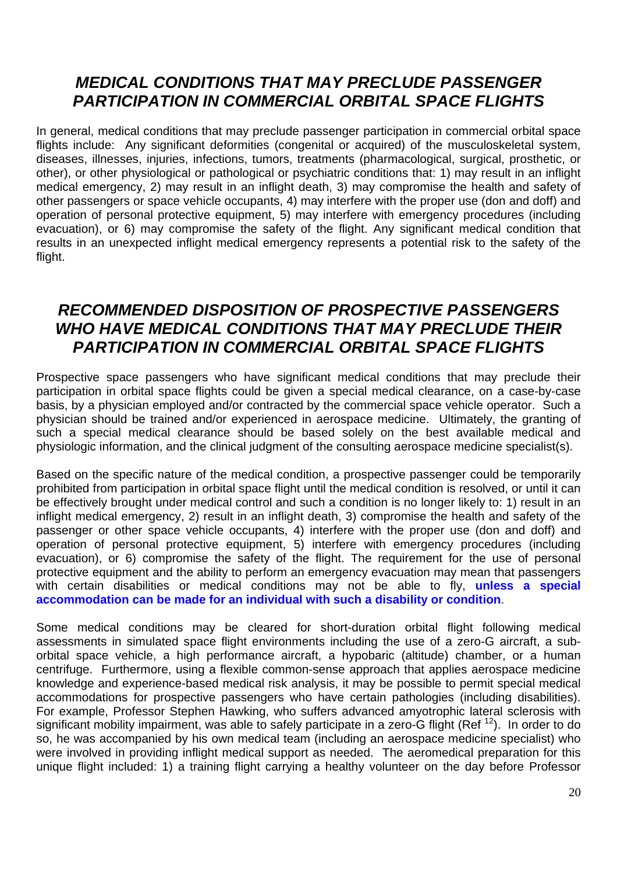## *MEDICAL CONDITIONS THAT MAY PRECLUDE PASSENGER PARTICIPATION IN COMMERCIAL ORBITAL SPACE FLIGHTS*

In general, medical conditions that may preclude passenger participation in commercial orbital space flights include: Any significant deformities (congenital or acquired) of the musculoskeletal system, diseases, illnesses, injuries, infections, tumors, treatments (pharmacological, surgical, prosthetic, or other), or other physiological or pathological or psychiatric conditions that: 1) may result in an inflight medical emergency, 2) may result in an inflight death, 3) may compromise the health and safety of other passengers or space vehicle occupants, 4) may interfere with the proper use (don and doff) and operation of personal protective equipment, 5) may interfere with emergency procedures (including evacuation), or 6) may compromise the safety of the flight. Any significant medical condition that results in an unexpected inflight medical emergency represents a potential risk to the safety of the flight.

## *RECOMMENDED DISPOSITION OF PROSPECTIVE PASSENGERS WHO HAVE MEDICAL CONDITIONS THAT MAY PRECLUDE THEIR PARTICIPATION IN COMMERCIAL ORBITAL SPACE FLIGHTS*

Prospective space passengers who have significant medical conditions that may preclude their participation in orbital space flights could be given a special medical clearance, on a case-by-case basis, by a physician employed and/or contracted by the commercial space vehicle operator. Such a physician should be trained and/or experienced in aerospace medicine. Ultimately, the granting of such a special medical clearance should be based solely on the best available medical and physiologic information, and the clinical judgment of the consulting aerospace medicine specialist(s).

Based on the specific nature of the medical condition, a prospective passenger could be temporarily prohibited from participation in orbital space flight until the medical condition is resolved, or until it can be effectively brought under medical control and such a condition is no longer likely to: 1) result in an inflight medical emergency, 2) result in an inflight death, 3) compromise the health and safety of the passenger or other space vehicle occupants, 4) interfere with the proper use (don and doff) and operation of personal protective equipment, 5) interfere with emergency procedures (including evacuation), or 6) compromise the safety of the flight. The requirement for the use of personal protective equipment and the ability to perform an emergency evacuation may mean that passengers with certain disabilities or medical conditions may not be able to fly, **unless a special accommodation can be made for an individual with such a disability or condition**.

Some medical conditions may be cleared for short-duration orbital flight following medical assessments in simulated space flight environments including the use of a zero-G aircraft, a suborbital space vehicle, a high performance aircraft, a hypobaric (altitude) chamber, or a human centrifuge. Furthermore, using a flexible common-sense approach that applies aerospace medicine knowledge and experience-based medical risk analysis, it may be possible to permit special medical accommodations for prospective passengers who have certain pathologies (including disabilities). For example, Professor Stephen Hawking, who suffers advanced amyotrophic lateral sclerosis with significant mobility impairment, was able to safely participate in a zero-G flight (Ref<sup>12</sup>). In order to do so, he was accompanied by his own medical team (including an aerospace medicine specialist) who were involved in providing inflight medical support as needed. The aeromedical preparation for this unique flight included: 1) a training flight carrying a healthy volunteer on the day before Professor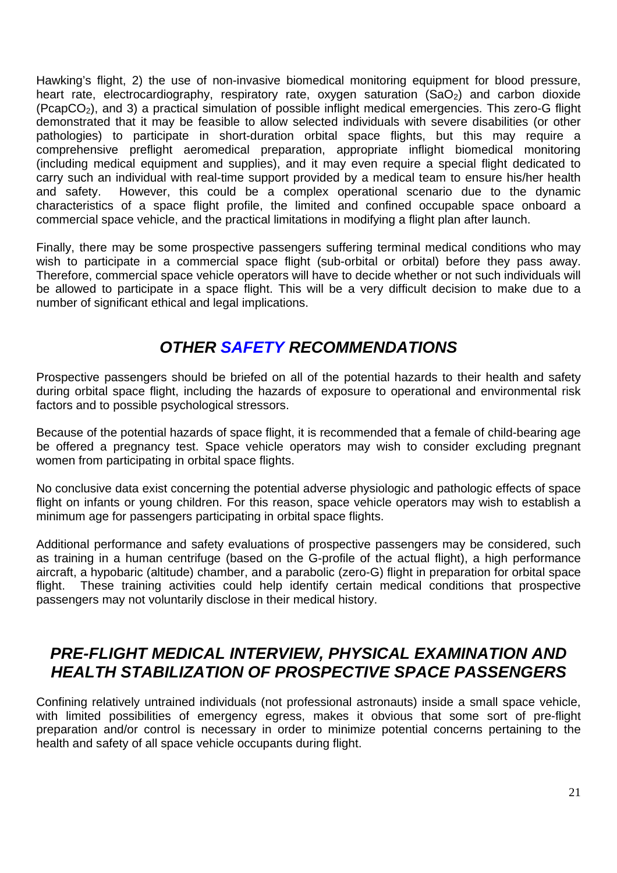Hawking's flight, 2) the use of non-invasive biomedical monitoring equipment for blood pressure, heart rate, electrocardiography, respiratory rate, oxygen saturation  $(SaO<sub>2</sub>)$  and carbon dioxide  $(PcapCO<sub>2</sub>)$ , and 3) a practical simulation of possible inflight medical emergencies. This zero-G flight demonstrated that it may be feasible to allow selected individuals with severe disabilities (or other pathologies) to participate in short-duration orbital space flights, but this may require a comprehensive preflight aeromedical preparation, appropriate inflight biomedical monitoring (including medical equipment and supplies), and it may even require a special flight dedicated to carry such an individual with real-time support provided by a medical team to ensure his/her health and safety. However, this could be a complex operational scenario due to the dynamic characteristics of a space flight profile, the limited and confined occupable space onboard a commercial space vehicle, and the practical limitations in modifying a flight plan after launch.

Finally, there may be some prospective passengers suffering terminal medical conditions who may wish to participate in a commercial space flight (sub-orbital or orbital) before they pass away. Therefore, commercial space vehicle operators will have to decide whether or not such individuals will be allowed to participate in a space flight. This will be a very difficult decision to make due to a number of significant ethical and legal implications.

## *OTHER SAFETY RECOMMENDATIONS*

Prospective passengers should be briefed on all of the potential hazards to their health and safety during orbital space flight, including the hazards of exposure to operational and environmental risk factors and to possible psychological stressors.

Because of the potential hazards of space flight, it is recommended that a female of child-bearing age be offered a pregnancy test. Space vehicle operators may wish to consider excluding pregnant women from participating in orbital space flights.

No conclusive data exist concerning the potential adverse physiologic and pathologic effects of space flight on infants or young children. For this reason, space vehicle operators may wish to establish a minimum age for passengers participating in orbital space flights.

Additional performance and safety evaluations of prospective passengers may be considered, such as training in a human centrifuge (based on the G-profile of the actual flight), a high performance aircraft, a hypobaric (altitude) chamber, and a parabolic (zero-G) flight in preparation for orbital space flight. These training activities could help identify certain medical conditions that prospective passengers may not voluntarily disclose in their medical history.

## *PRE-FLIGHT MEDICAL INTERVIEW, PHYSICAL EXAMINATION AND HEALTH STABILIZATION OF PROSPECTIVE SPACE PASSENGERS*

Confining relatively untrained individuals (not professional astronauts) inside a small space vehicle, with limited possibilities of emergency egress, makes it obvious that some sort of pre-flight preparation and/or control is necessary in order to minimize potential concerns pertaining to the health and safety of all space vehicle occupants during flight.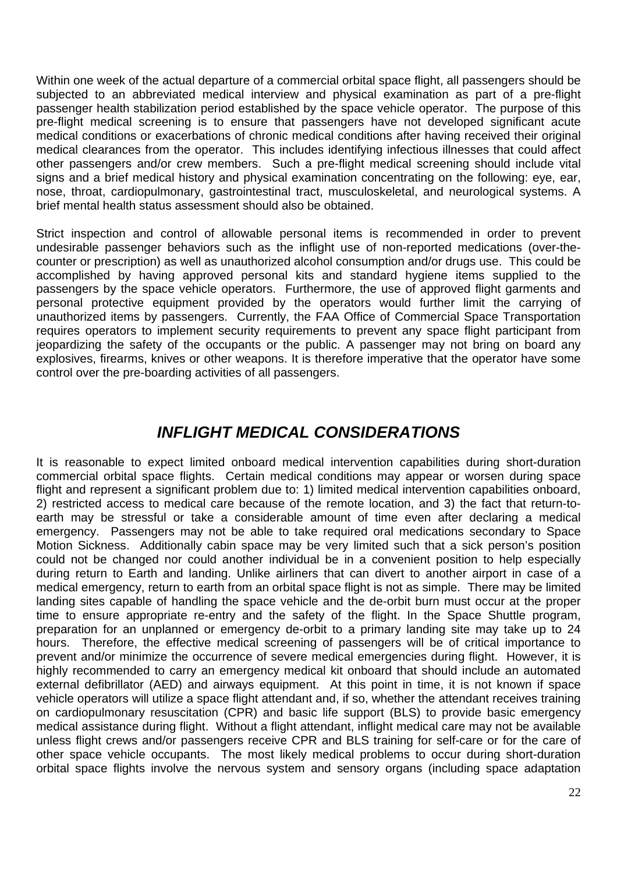Within one week of the actual departure of a commercial orbital space flight, all passengers should be subjected to an abbreviated medical interview and physical examination as part of a pre-flight passenger health stabilization period established by the space vehicle operator. The purpose of this pre-flight medical screening is to ensure that passengers have not developed significant acute medical conditions or exacerbations of chronic medical conditions after having received their original medical clearances from the operator. This includes identifying infectious illnesses that could affect other passengers and/or crew members. Such a pre-flight medical screening should include vital signs and a brief medical history and physical examination concentrating on the following: eye, ear, nose, throat, cardiopulmonary, gastrointestinal tract, musculoskeletal, and neurological systems. A brief mental health status assessment should also be obtained.

Strict inspection and control of allowable personal items is recommended in order to prevent undesirable passenger behaviors such as the inflight use of non-reported medications (over-thecounter or prescription) as well as unauthorized alcohol consumption and/or drugs use. This could be accomplished by having approved personal kits and standard hygiene items supplied to the passengers by the space vehicle operators. Furthermore, the use of approved flight garments and personal protective equipment provided by the operators would further limit the carrying of unauthorized items by passengers. Currently, the FAA Office of Commercial Space Transportation requires operators to implement security requirements to prevent any space flight participant from jeopardizing the safety of the occupants or the public. A passenger may not bring on board any explosives, firearms, knives or other weapons. It is therefore imperative that the operator have some control over the pre-boarding activities of all passengers.

## *INFLIGHT MEDICAL CONSIDERATIONS*

It is reasonable to expect limited onboard medical intervention capabilities during short-duration commercial orbital space flights. Certain medical conditions may appear or worsen during space flight and represent a significant problem due to: 1) limited medical intervention capabilities onboard, 2) restricted access to medical care because of the remote location, and 3) the fact that return-toearth may be stressful or take a considerable amount of time even after declaring a medical emergency. Passengers may not be able to take required oral medications secondary to Space Motion Sickness. Additionally cabin space may be very limited such that a sick person's position could not be changed nor could another individual be in a convenient position to help especially during return to Earth and landing. Unlike airliners that can divert to another airport in case of a medical emergency, return to earth from an orbital space flight is not as simple. There may be limited landing sites capable of handling the space vehicle and the de-orbit burn must occur at the proper time to ensure appropriate re-entry and the safety of the flight. In the Space Shuttle program, preparation for an unplanned or emergency de-orbit to a primary landing site may take up to 24 hours. Therefore, the effective medical screening of passengers will be of critical importance to prevent and/or minimize the occurrence of severe medical emergencies during flight. However, it is highly recommended to carry an emergency medical kit onboard that should include an automated external defibrillator (AED) and airways equipment. At this point in time, it is not known if space vehicle operators will utilize a space flight attendant and, if so, whether the attendant receives training on cardiopulmonary resuscitation (CPR) and basic life support (BLS) to provide basic emergency medical assistance during flight. Without a flight attendant, inflight medical care may not be available unless flight crews and/or passengers receive CPR and BLS training for self-care or for the care of other space vehicle occupants. The most likely medical problems to occur during short-duration orbital space flights involve the nervous system and sensory organs (including space adaptation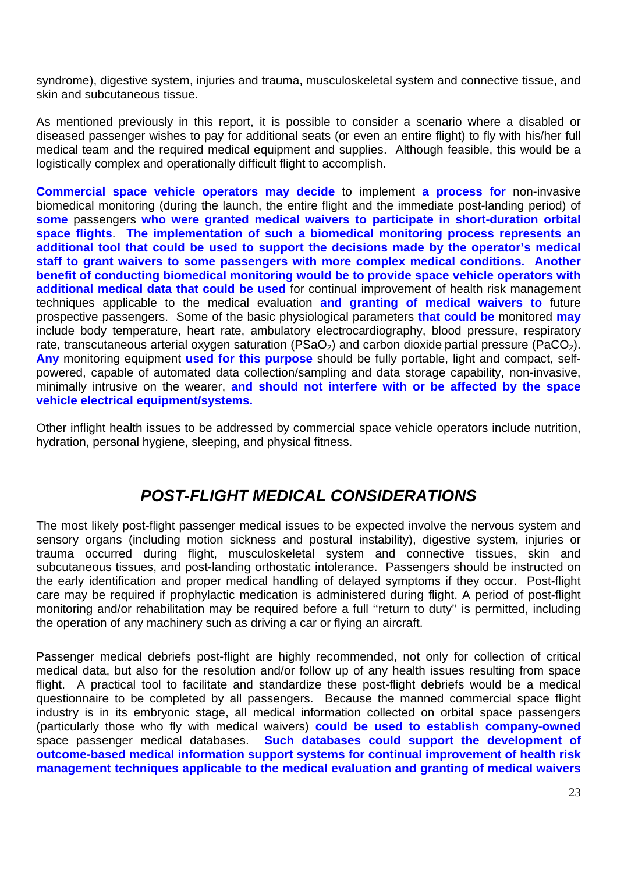syndrome), digestive system, injuries and trauma, musculoskeletal system and connective tissue, and skin and subcutaneous tissue.

As mentioned previously in this report, it is possible to consider a scenario where a disabled or diseased passenger wishes to pay for additional seats (or even an entire flight) to fly with his/her full medical team and the required medical equipment and supplies. Although feasible, this would be a logistically complex and operationally difficult flight to accomplish.

**Commercial space vehicle operators may decide** to implement **a process for** non-invasive biomedical monitoring (during the launch, the entire flight and the immediate post-landing period) of **some** passengers **who were granted medical waivers to participate in short-duration orbital space flights**. **The implementation of such a biomedical monitoring process represents an additional tool that could be used to support the decisions made by the operator's medical staff to grant waivers to some passengers with more complex medical conditions. Another benefit of conducting biomedical monitoring would be to provide space vehicle operators with additional medical data that could be used** for continual improvement of health risk management techniques applicable to the medical evaluation **and granting of medical waivers to** future prospective passengers. Some of the basic physiological parameters **that could be** monitored **may**  include body temperature, heart rate, ambulatory electrocardiography, blood pressure, respiratory rate, transcutaneous arterial oxygen saturation ( $PSaO<sub>2</sub>$ ) and carbon dioxide partial pressure ( $PaCO<sub>2</sub>$ ). **Any** monitoring equipment **used for this purpose** should be fully portable, light and compact, selfpowered, capable of automated data collection/sampling and data storage capability, non-invasive, minimally intrusive on the wearer, **and should not interfere with or be affected by the space vehicle electrical equipment/systems.**

Other inflight health issues to be addressed by commercial space vehicle operators include nutrition, hydration, personal hygiene, sleeping, and physical fitness.

## *POST-FLIGHT MEDICAL CONSIDERATIONS*

The most likely post-flight passenger medical issues to be expected involve the nervous system and sensory organs (including motion sickness and postural instability), digestive system, injuries or trauma occurred during flight, musculoskeletal system and connective tissues, skin and subcutaneous tissues, and post-landing orthostatic intolerance. Passengers should be instructed on the early identification and proper medical handling of delayed symptoms if they occur. Post-flight care may be required if prophylactic medication is administered during flight. A period of post-flight monitoring and/or rehabilitation may be required before a full ''return to duty'' is permitted, including the operation of any machinery such as driving a car or flying an aircraft.

Passenger medical debriefs post-flight are highly recommended, not only for collection of critical medical data, but also for the resolution and/or follow up of any health issues resulting from space flight. A practical tool to facilitate and standardize these post-flight debriefs would be a medical questionnaire to be completed by all passengers.Because the manned commercial space flight industry is in its embryonic stage, all medical information collected on orbital space passengers (particularly those who fly with medical waivers) **could be used to establish company-owned** space passenger medical databases. **Such databases could support the development of outcome-based medical information support systems for continual improvement of health risk management techniques applicable to the medical evaluation and granting of medical waivers**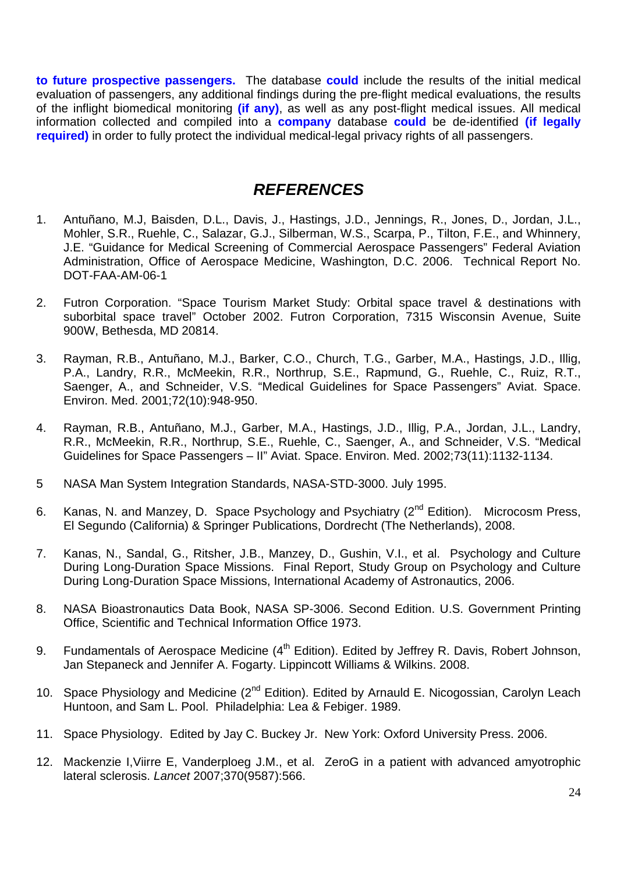**to future prospective passengers.** The database **could** include the results of the initial medical evaluation of passengers, any additional findings during the pre-flight medical evaluations, the results of the inflight biomedical monitoring **(if any)**, as well as any post-flight medical issues. All medical information collected and compiled into a **company** database **could** be de-identified **(if legally required)** in order to fully protect the individual medical-legal privacy rights of all passengers.

## *REFERENCES*

- 1. Antuñano, M.J, Baisden, D.L., Davis, J., Hastings, J.D., Jennings, R., Jones, D., Jordan, J.L., Mohler, S.R., Ruehle, C., Salazar, G.J., Silberman, W.S., Scarpa, P., Tilton, F.E., and Whinnery, J.E. "Guidance for Medical Screening of Commercial Aerospace Passengers" Federal Aviation Administration, Office of Aerospace Medicine, Washington, D.C. 2006. Technical Report No. DOT-FAA-AM-06-1
- 2. Futron Corporation. "Space Tourism Market Study: Orbital space travel & destinations with suborbital space travel" October 2002. Futron Corporation, 7315 Wisconsin Avenue, Suite 900W, Bethesda, MD 20814.
- 3. Rayman, R.B., Antuñano, M.J., Barker, C.O., Church, T.G., Garber, M.A., Hastings, J.D., Illig, P.A., Landry, R.R., McMeekin, R.R., Northrup, S.E., Rapmund, G., Ruehle, C., Ruiz, R.T., Saenger, A., and Schneider, V.S. "Medical Guidelines for Space Passengers" Aviat. Space. Environ. Med. 2001;72(10):948-950.
- 4. Rayman, R.B., Antuñano, M.J., Garber, M.A., Hastings, J.D., Illig, P.A., Jordan, J.L., Landry, R.R., McMeekin, R.R., Northrup, S.E., Ruehle, C., Saenger, A., and Schneider, V.S. "Medical Guidelines for Space Passengers – II" Aviat. Space. Environ. Med. 2002;73(11):1132-1134.
- 5 NASA Man System Integration Standards, NASA-STD-3000. July 1995.
- 6. Kanas, N. and Manzey, D. Space Psychology and Psychiatry  $(2^{nd}$  Edition). Microcosm Press, El Segundo (California) & Springer Publications, Dordrecht (The Netherlands), 2008.
- 7. Kanas, N., Sandal, G., Ritsher, J.B., Manzey, D., Gushin, V.I., et al. Psychology and Culture During Long-Duration Space Missions. Final Report, Study Group on Psychology and Culture During Long-Duration Space Missions, International Academy of Astronautics, 2006.
- 8. NASA Bioastronautics Data Book, NASA SP-3006. Second Edition. U.S. Government Printing Office, Scientific and Technical Information Office 1973.
- 9. Fundamentals of Aerospace Medicine (4<sup>th</sup> Edition). Edited by Jeffrey R. Davis, Robert Johnson, Jan Stepaneck and Jennifer A. Fogarty. Lippincott Williams & Wilkins. 2008.
- 10. Space Physiology and Medicine (2<sup>nd</sup> Edition). Edited by Arnauld E. Nicogossian, Carolyn Leach Huntoon, and Sam L. Pool. Philadelphia: Lea & Febiger. 1989.
- 11. Space Physiology. Edited by Jay C. Buckey Jr. New York: Oxford University Press. 2006.
- 12. Mackenzie I,Viirre E, Vanderploeg J.M., et al. ZeroG in a patient with advanced amyotrophic lateral sclerosis. *Lancet* 2007;370(9587):566.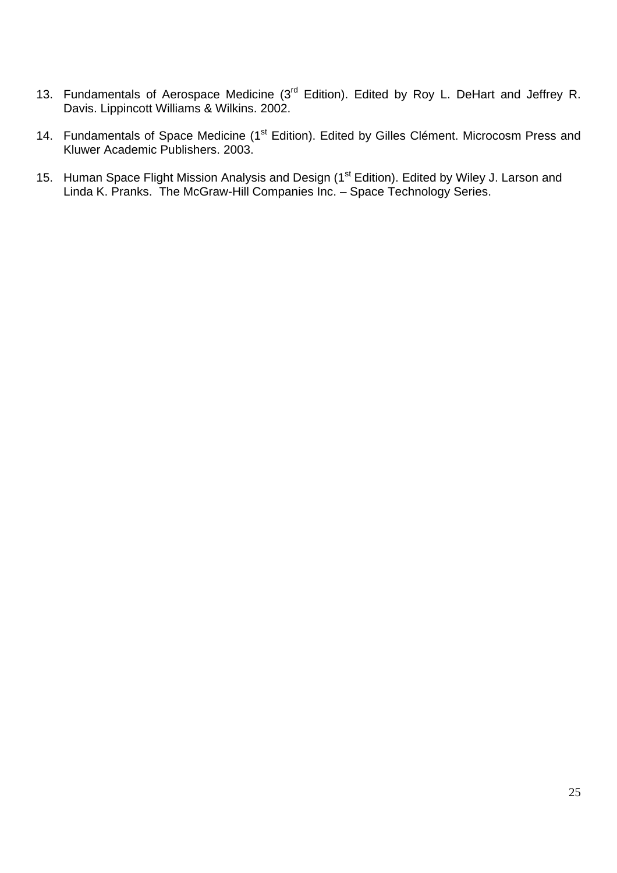- 13. Fundamentals of Aerospace Medicine (3<sup>rd</sup> Edition). Edited by Roy L. DeHart and Jeffrey R. Davis. Lippincott Williams & Wilkins. 2002.
- 14. Fundamentals of Space Medicine (1<sup>st</sup> Edition). Edited by Gilles Clément. Microcosm Press and Kluwer Academic Publishers. 2003.
- 15. Human Space Flight Mission Analysis and Design (1<sup>st</sup> Edition). Edited by Wiley J. Larson and Linda K. Pranks. The McGraw-Hill Companies Inc. – Space Technology Series.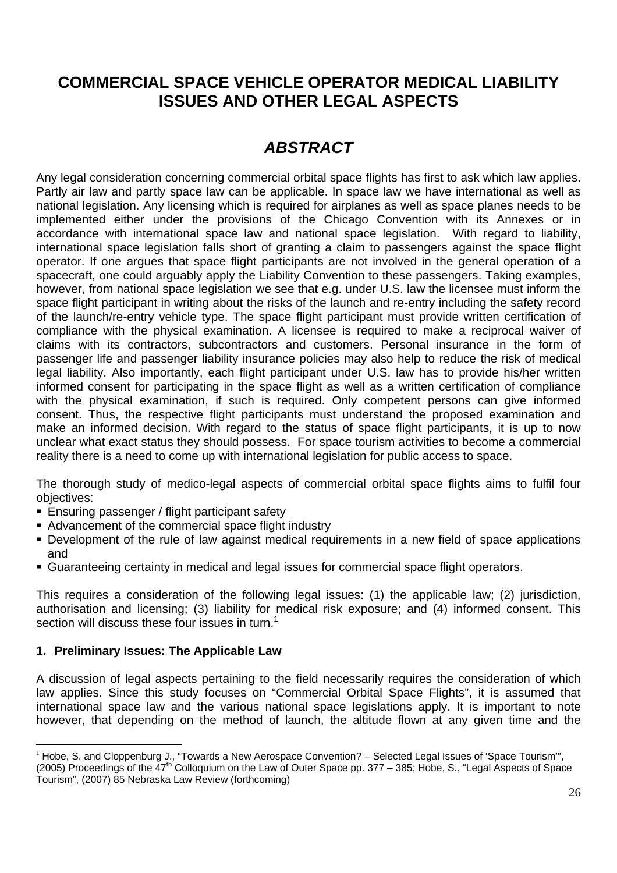## **COMMERCIAL SPACE VEHICLE OPERATOR MEDICAL LIABILITY ISSUES AND OTHER LEGAL ASPECTS**

## *ABSTRACT*

Any legal consideration concerning commercial orbital space flights has first to ask which law applies. Partly air law and partly space law can be applicable. In space law we have international as well as national legislation. Any licensing which is required for airplanes as well as space planes needs to be implemented either under the provisions of the Chicago Convention with its Annexes or in accordance with international space law and national space legislation. With regard to liability, international space legislation falls short of granting a claim to passengers against the space flight operator. If one argues that space flight participants are not involved in the general operation of a spacecraft, one could arguably apply the Liability Convention to these passengers. Taking examples, however, from national space legislation we see that e.g. under U.S. law the licensee must inform the space flight participant in writing about the risks of the launch and re-entry including the safety record of the launch/re-entry vehicle type. The space flight participant must provide written certification of compliance with the physical examination. A licensee is required to make a reciprocal waiver of claims with its contractors, subcontractors and customers. Personal insurance in the form of passenger life and passenger liability insurance policies may also help to reduce the risk of medical legal liability. Also importantly, each flight participant under U.S. law has to provide his/her written informed consent for participating in the space flight as well as a written certification of compliance with the physical examination, if such is required. Only competent persons can give informed consent. Thus, the respective flight participants must understand the proposed examination and make an informed decision. With regard to the status of space flight participants, it is up to now unclear what exact status they should possess. For space tourism activities to become a commercial reality there is a need to come up with international legislation for public access to space.

The thorough study of medico-legal aspects of commercial orbital space flights aims to fulfil four objectives:

- **Ensuring passenger / flight participant safety**
- Advancement of the commercial space flight industry
- **Development of the rule of law against medical requirements in a new field of space applications** and
- Guaranteeing certainty in medical and legal issues for commercial space flight operators.

This requires a consideration of the following legal issues: (1) the applicable law; (2) jurisdiction, authorisation and licensing; (3) liability for medical risk exposure; and (4) informed consent. This section will discuss these four issues in turn.<sup>1</sup>

### **1. Preliminary Issues: The Applicable Law**

A discussion of legal aspects pertaining to the field necessarily requires the consideration of which law applies. Since this study focuses on "Commercial Orbital Space Flights", it is assumed that international space law and the various national space legislations apply. It is important to note however, that depending on the method of launch, the altitude flown at any given time and the

 $1$  Hobe, S. and Cloppenburg J., "Towards a New Aerospace Convention? – Selected Legal Issues of 'Space Tourism'", (2005) Proceedings of the 47<sup>th</sup> Colloquium on the Law of Outer Space pp. 377 – 385; Hobe, S., "Legal Aspects of Space Tourism", (2007) 85 Nebraska Law Review (forthcoming)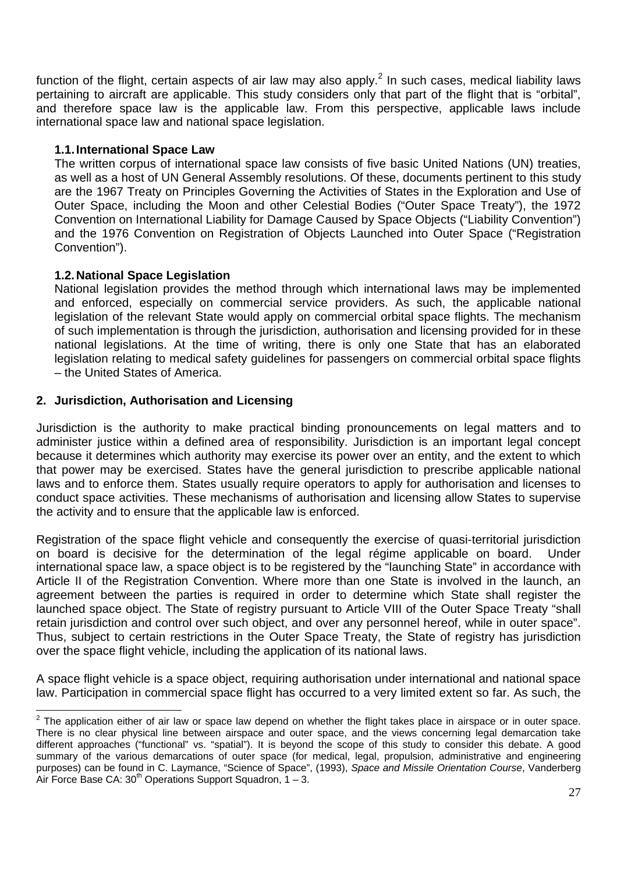function of the flight, certain aspects of air law may also apply.<sup>2</sup> In such cases, medical liability laws pertaining to aircraft are applicable. This study considers only that part of the flight that is "orbital", and therefore space law is the applicable law. From this perspective, applicable laws include international space law and national space legislation.

### **1.1. International Space Law**

The written corpus of international space law consists of five basic United Nations (UN) treaties, as well as a host of UN General Assembly resolutions. Of these, documents pertinent to this study are the 1967 Treaty on Principles Governing the Activities of States in the Exploration and Use of Outer Space, including the Moon and other Celestial Bodies ("Outer Space Treaty"), the 1972 Convention on International Liability for Damage Caused by Space Objects ("Liability Convention") and the 1976 Convention on Registration of Objects Launched into Outer Space ("Registration Convention").

### **1.2. National Space Legislation**

National legislation provides the method through which international laws may be implemented and enforced, especially on commercial service providers. As such, the applicable national legislation of the relevant State would apply on commercial orbital space flights. The mechanism of such implementation is through the jurisdiction, authorisation and licensing provided for in these national legislations. At the time of writing, there is only one State that has an elaborated legislation relating to medical safety guidelines for passengers on commercial orbital space flights – the United States of America.

### **2. Jurisdiction, Authorisation and Licensing**

Jurisdiction is the authority to make practical binding pronouncements on legal matters and to administer justice within a defined area of responsibility. Jurisdiction is an important legal concept because it determines which authority may exercise its power over an entity, and the extent to which that power may be exercised. States have the general jurisdiction to prescribe applicable national laws and to enforce them. States usually require operators to apply for authorisation and licenses to conduct space activities. These mechanisms of authorisation and licensing allow States to supervise the activity and to ensure that the applicable law is enforced.

Registration of the space flight vehicle and consequently the exercise of quasi-territorial jurisdiction on board is decisive for the determination of the legal régime applicable on board. Under international space law, a space object is to be registered by the "launching State" in accordance with Article II of the Registration Convention. Where more than one State is involved in the launch, an agreement between the parties is required in order to determine which State shall register the launched space object. The State of registry pursuant to Article VIII of the Outer Space Treaty "shall retain jurisdiction and control over such object, and over any personnel hereof, while in outer space". Thus, subject to certain restrictions in the Outer Space Treaty, the State of registry has jurisdiction over the space flight vehicle, including the application of its national laws.

A space flight vehicle is a space object, requiring authorisation under international and national space law. Participation in commercial space flight has occurred to a very limited extent so far. As such, the

<sup>&</sup>lt;u>2</u><br><sup>2</sup> The application either of air law or space law depend on whether the flight takes place in airspace or in outer space. There is no clear physical line between airspace and outer space, and the views concerning legal demarcation take different approaches ("functional" vs. "spatial"). It is beyond the scope of this study to consider this debate. A good summary of the various demarcations of outer space (for medical, legal, propulsion, administrative and engineering purposes) can be found in C. Laymance, "Science of Space", (1993), *Space and Missile Orientation Course*, Vanderberg Air Force Base CA: 30<sup>th</sup> Operations Support Squadron, 1 – 3.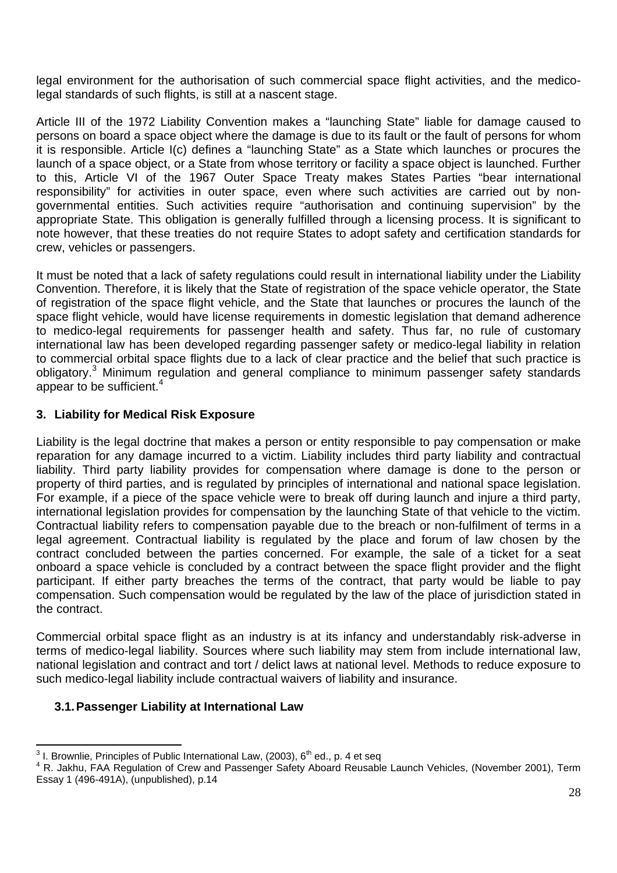legal environment for the authorisation of such commercial space flight activities, and the medicolegal standards of such flights, is still at a nascent stage.

Article III of the 1972 Liability Convention makes a "launching State" liable for damage caused to persons on board a space object where the damage is due to its fault or the fault of persons for whom it is responsible. Article I(c) defines a "launching State" as a State which launches or procures the launch of a space object, or a State from whose territory or facility a space object is launched. Further to this, Article VI of the 1967 Outer Space Treaty makes States Parties "bear international responsibility" for activities in outer space, even where such activities are carried out by nongovernmental entities. Such activities require "authorisation and continuing supervision" by the appropriate State. This obligation is generally fulfilled through a licensing process. It is significant to note however, that these treaties do not require States to adopt safety and certification standards for crew, vehicles or passengers.

It must be noted that a lack of safety regulations could result in international liability under the Liability Convention. Therefore, it is likely that the State of registration of the space vehicle operator, the State of registration of the space flight vehicle, and the State that launches or procures the launch of the space flight vehicle, would have license requirements in domestic legislation that demand adherence to medico-legal requirements for passenger health and safety. Thus far, no rule of customary international law has been developed regarding passenger safety or medico-legal liability in relation to commercial orbital space flights due to a lack of clear practice and the belief that such practice is obligatory.<sup>3</sup> Minimum regulation and general compliance to minimum passenger safety standards appear to be sufficient. $4$ 

### **3. Liability for Medical Risk Exposure**

Liability is the legal doctrine that makes a person or entity responsible to pay compensation or make reparation for any damage incurred to a victim. Liability includes third party liability and contractual liability. Third party liability provides for compensation where damage is done to the person or property of third parties, and is regulated by principles of international and national space legislation. For example, if a piece of the space vehicle were to break off during launch and injure a third party, international legislation provides for compensation by the launching State of that vehicle to the victim. Contractual liability refers to compensation payable due to the breach or non-fulfilment of terms in a legal agreement. Contractual liability is regulated by the place and forum of law chosen by the contract concluded between the parties concerned. For example, the sale of a ticket for a seat onboard a space vehicle is concluded by a contract between the space flight provider and the flight participant. If either party breaches the terms of the contract, that party would be liable to pay compensation. Such compensation would be regulated by the law of the place of jurisdiction stated in the contract.

Commercial orbital space flight as an industry is at its infancy and understandably risk-adverse in terms of medico-legal liability. Sources where such liability may stem from include international law, national legislation and contract and tort / delict laws at national level. Methods to reduce exposure to such medico-legal liability include contractual waivers of liability and insurance.

### **3.1. Passenger Liability at International Law**

<sup>&</sup>lt;sup>3</sup> I. Brownlie, Principles of Public International Law, (2003), 6<sup>th</sup> ed., p. 4 et seq<br><sup>4</sup> B. Jokhu, FAA Bogulation of Crow and Bossenger Sefety Aboard Bougable

<sup>&</sup>lt;sup>4</sup> R. Jakhu, FAA Regulation of Crew and Passenger Safety Aboard Reusable Launch Vehicles, (November 2001), Term Essay 1 (496-491A), (unpublished), p.14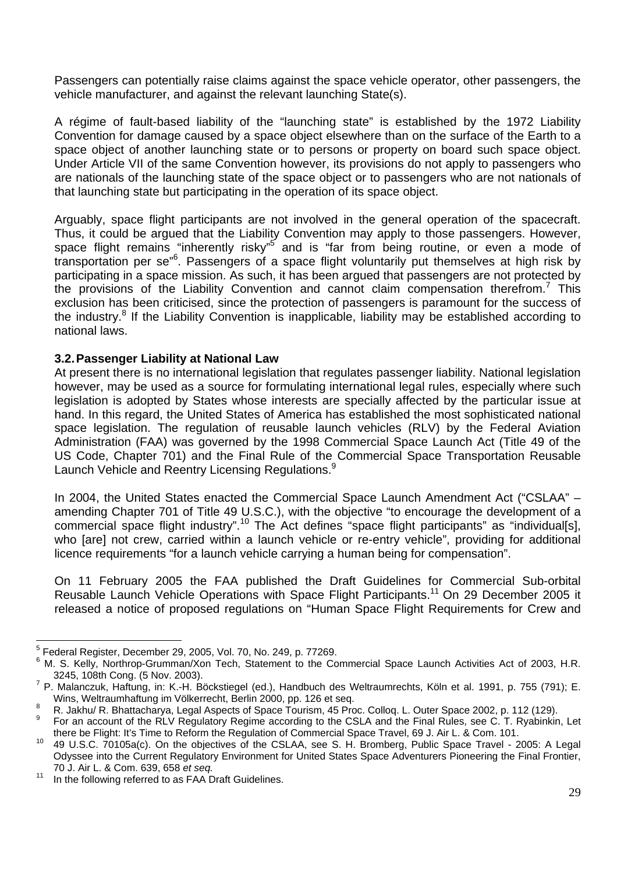Passengers can potentially raise claims against the space vehicle operator, other passengers, the vehicle manufacturer, and against the relevant launching State(s).

A régime of fault-based liability of the "launching state" is established by the 1972 Liability Convention for damage caused by a space object elsewhere than on the surface of the Earth to a space object of another launching state or to persons or property on board such space object. Under Article VII of the same Convention however, its provisions do not apply to passengers who are nationals of the launching state of the space object or to passengers who are not nationals of that launching state but participating in the operation of its space object.

Arguably, space flight participants are not involved in the general operation of the spacecraft. Thus, it could be argued that the Liability Convention may apply to those passengers. However, space flight remains "inherently risky"<sup>5</sup> and is "far from being routine, or even a mode of transportation per se<sup>"6</sup>. Passengers of a space flight voluntarily put themselves at high risk by participating in a space mission. As such, it has been argued that passengers are not protected by the provisions of the Liability Convention and cannot claim compensation therefrom.<sup>7</sup> This exclusion has been criticised, since the protection of passengers is paramount for the success of the industry.<sup>8</sup> If the Liability Convention is inapplicable, liability may be established according to national laws.

### **3.2. Passenger Liability at National Law**

At present there is no international legislation that regulates passenger liability. National legislation however, may be used as a source for formulating international legal rules, especially where such legislation is adopted by States whose interests are specially affected by the particular issue at hand. In this regard, the United States of America has established the most sophisticated national space legislation. The regulation of reusable launch vehicles (RLV) by the Federal Aviation Administration (FAA) was governed by the 1998 Commercial Space Launch Act (Title 49 of the US Code, Chapter 701) and the Final Rule of the Commercial Space Transportation Reusable Launch Vehicle and Reentry Licensing Regulations.<sup>9</sup>

In 2004, the United States enacted the Commercial Space Launch Amendment Act ("CSLAA" – amending Chapter 701 of Title 49 U.S.C.), with the objective "to encourage the development of a commercial space flight industry".<sup>10</sup> The Act defines "space flight participants" as "individual[s], who [are] not crew, carried within a launch vehicle or re-entry vehicle", providing for additional licence requirements "for a launch vehicle carrying a human being for compensation".

On 11 February 2005 the FAA published the Draft Guidelines for Commercial Sub-orbital Reusable Launch Vehicle Operations with Space Flight Participants.<sup>11</sup> On 29 December 2005 it released a notice of proposed regulations on "Human Space Flight Requirements for Crew and

 5 Federal Register, December 29, 2005, Vol. 70, No. 249, p. 77269.

<sup>6</sup> M. S. Kelly, Northrop-Grumman/Xon Tech, Statement to the Commercial Space Launch Activities Act of 2003, H.R. 3245, 108th Cong. (5 Nov. 2003). 7

P. Malanczuk, Haftung, in: K.-H. Böckstiegel (ed.), Handbuch des Weltraumrechts, Köln et al. 1991, p. 755 (791); E.

Wins, Weltraumhaftung im Völkerrecht, Berlin 2000, pp. 126 et seq.<br>8 R. Jakhu/ R. Bhattacharya, Legal Aspects of Space Tourism, 45 Proc. Colloq. L. Outer Space 2002, p. 112 (129).

For an account of the RLV Regulatory Regime according to the CSLA and the Final Rules, see C. T. Ryabinkin, Let there be Flight: It's Time to Reform the Regulation of Commercial Space Travel, 69 J. Air L. & Com. 101.<br><sup>10</sup> 49 U.S.C. 70105a(c). On the objectives of the CSLAA, see S. H. Bromberg, Public Space Travel - 2005: A Legal

Odyssee into the Current Regulatory Environment for United States Space Adventurers Pioneering the Final Frontier, 70 J. Air L. & Com. 639, 658 *et seq.*<br><sup>11</sup> In the following referred to as FAA Draft Guidelines.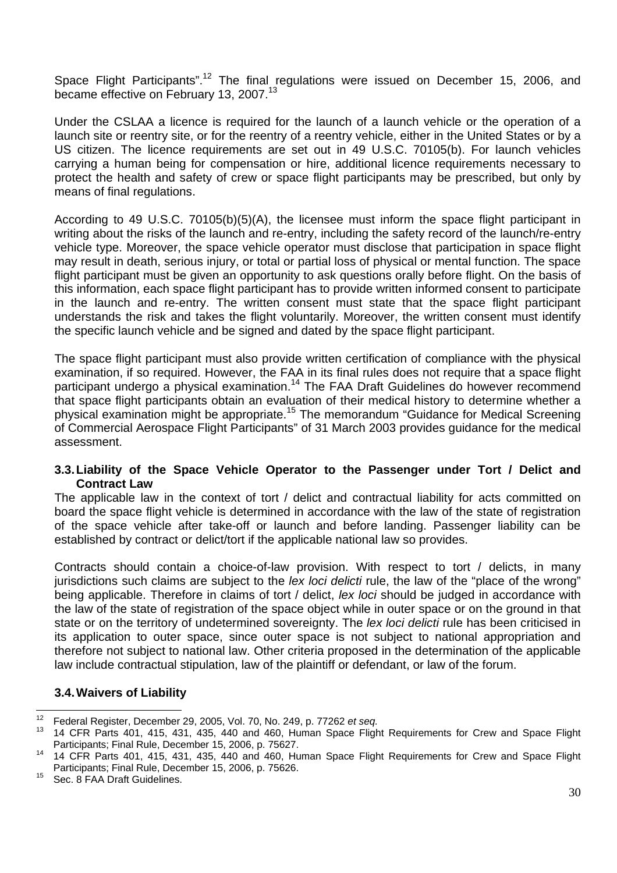Space Flight Participants".<sup>12</sup> The final regulations were issued on December 15, 2006, and became effective on February 13, 2007.<sup>13</sup>

Under the CSLAA a licence is required for the launch of a launch vehicle or the operation of a launch site or reentry site, or for the reentry of a reentry vehicle, either in the United States or by a US citizen. The licence requirements are set out in 49 U.S.C. 70105(b). For launch vehicles carrying a human being for compensation or hire, additional licence requirements necessary to protect the health and safety of crew or space flight participants may be prescribed, but only by means of final regulations.

According to 49 U.S.C. 70105(b)(5)(A), the licensee must inform the space flight participant in writing about the risks of the launch and re-entry, including the safety record of the launch/re-entry vehicle type. Moreover, the space vehicle operator must disclose that participation in space flight may result in death, serious injury, or total or partial loss of physical or mental function. The space flight participant must be given an opportunity to ask questions orally before flight. On the basis of this information, each space flight participant has to provide written informed consent to participate in the launch and re-entry. The written consent must state that the space flight participant understands the risk and takes the flight voluntarily. Moreover, the written consent must identify the specific launch vehicle and be signed and dated by the space flight participant.

The space flight participant must also provide written certification of compliance with the physical examination, if so required. However, the FAA in its final rules does not require that a space flight participant undergo a physical examination.<sup>14</sup> The FAA Draft Guidelines do however recommend that space flight participants obtain an evaluation of their medical history to determine whether a physical examination might be appropriate.15 The memorandum "Guidance for Medical Screening of Commercial Aerospace Flight Participants" of 31 March 2003 provides guidance for the medical assessment.

### **3.3. Liability of the Space Vehicle Operator to the Passenger under Tort / Delict and Contract Law**

The applicable law in the context of tort / delict and contractual liability for acts committed on board the space flight vehicle is determined in accordance with the law of the state of registration of the space vehicle after take-off or launch and before landing. Passenger liability can be established by contract or delict/tort if the applicable national law so provides.

Contracts should contain a choice-of-law provision. With respect to tort / delicts, in many jurisdictions such claims are subject to the *lex loci delicti* rule, the law of the "place of the wrong" being applicable. Therefore in claims of tort / delict, *lex loci* should be judged in accordance with the law of the state of registration of the space object while in outer space or on the ground in that state or on the territory of undetermined sovereignty. The *lex loci delicti* rule has been criticised in its application to outer space, since outer space is not subject to national appropriation and therefore not subject to national law. Other criteria proposed in the determination of the applicable law include contractual stipulation, law of the plaintiff or defendant, or law of the forum.

### **3.4. Waivers of Liability**

 $12$ 

<sup>12</sup> Federal Register, December 29, 2005, Vol. 70, No. 249, p. 77262 *et seq.* 13 14 CFR Parts 401, 415, 431, 435, 440 and 460, Human Space Flight Requirements for Crew and Space Flight Participants; Final Rule, December 15, 2006, p. 75627.<br><sup>14</sup> 14 CFR Parts 401, 415, 431, 435, 440 and 460, Human Space Flight Requirements for Crew and Space Flight

Participants; Final Rule, December 15, 2006, p. 75626.<br><sup>15</sup> Sec. 8 FAA Draft Guidelines.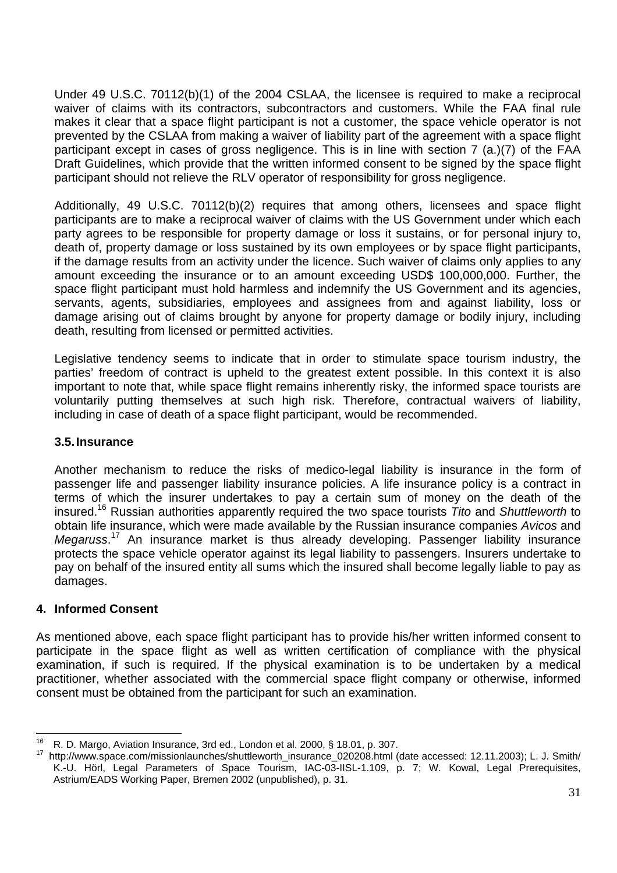Under 49 U.S.C. 70112(b)(1) of the 2004 CSLAA, the licensee is required to make a reciprocal waiver of claims with its contractors, subcontractors and customers. While the FAA final rule makes it clear that a space flight participant is not a customer, the space vehicle operator is not prevented by the CSLAA from making a waiver of liability part of the agreement with a space flight participant except in cases of gross negligence. This is in line with section 7 (a.)(7) of the FAA Draft Guidelines, which provide that the written informed consent to be signed by the space flight participant should not relieve the RLV operator of responsibility for gross negligence.

Additionally, 49 U.S.C. 70112(b)(2) requires that among others, licensees and space flight participants are to make a reciprocal waiver of claims with the US Government under which each party agrees to be responsible for property damage or loss it sustains, or for personal injury to, death of, property damage or loss sustained by its own employees or by space flight participants, if the damage results from an activity under the licence. Such waiver of claims only applies to any amount exceeding the insurance or to an amount exceeding USD\$ 100,000,000. Further, the space flight participant must hold harmless and indemnify the US Government and its agencies, servants, agents, subsidiaries, employees and assignees from and against liability, loss or damage arising out of claims brought by anyone for property damage or bodily injury, including death, resulting from licensed or permitted activities.

Legislative tendency seems to indicate that in order to stimulate space tourism industry, the parties' freedom of contract is upheld to the greatest extent possible. In this context it is also important to note that, while space flight remains inherently risky, the informed space tourists are voluntarily putting themselves at such high risk. Therefore, contractual waivers of liability, including in case of death of a space flight participant, would be recommended.

### **3.5. Insurance**

Another mechanism to reduce the risks of medico-legal liability is insurance in the form of passenger life and passenger liability insurance policies. A life insurance policy is a contract in terms of which the insurer undertakes to pay a certain sum of money on the death of the insured.16 Russian authorities apparently required the two space tourists *Tito* and *Shuttleworth* to obtain life insurance, which were made available by the Russian insurance companies *Avicos* and *Megaruss*. 17 An insurance market is thus already developing. Passenger liability insurance protects the space vehicle operator against its legal liability to passengers. Insurers undertake to pay on behalf of the insured entity all sums which the insured shall become legally liable to pay as damages.

### **4. Informed Consent**

As mentioned above, each space flight participant has to provide his/her written informed consent to participate in the space flight as well as written certification of compliance with the physical examination, if such is required. If the physical examination is to be undertaken by a medical practitioner, whether associated with the commercial space flight company or otherwise, informed consent must be obtained from the participant for such an examination.

<sup>16</sup> 

R. D. Margo, Aviation Insurance, 3rd ed., London et al. 2000, § 18.01, p. 307.<br>17. http://www.space.com/missionlaunches/shuttleworth\_insurance\_020208.html (date accessed: 12.11.2003); L. J. Smith K.-U. Hörl, Legal Parameters of Space Tourism, IAC-03-IISL-1.109, p. 7; W. Kowal, Legal Prerequisites, Astrium/EADS Working Paper, Bremen 2002 (unpublished), p. 31.